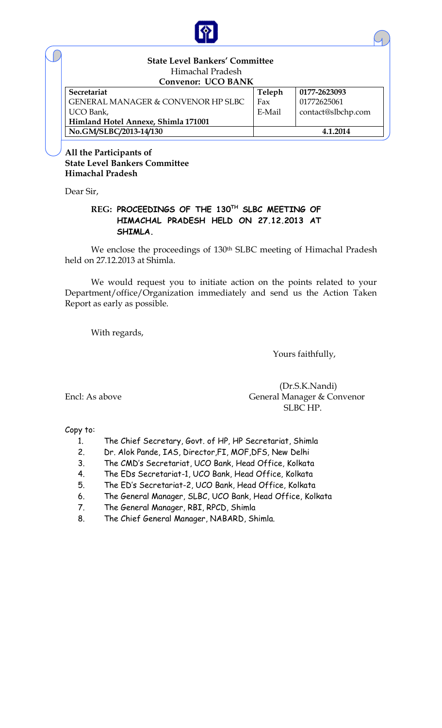

## **State Level Bankers' Committee** Himachal Pradesh

| <b>Convenor: UCO BANK</b>                     |        |                    |  |  |  |  |  |  |
|-----------------------------------------------|--------|--------------------|--|--|--|--|--|--|
| Secretariat                                   | Teleph | 0177-2623093       |  |  |  |  |  |  |
| <b>GENERAL MANAGER &amp; CONVENOR HP SLBC</b> | Fax    | 01772625061        |  |  |  |  |  |  |
| UCO Bank,                                     | E-Mail | contact@slbchp.com |  |  |  |  |  |  |
| Himland Hotel Annexe, Shimla 171001           |        |                    |  |  |  |  |  |  |
| No.GM/SLBC/2013-14/130                        |        | 4.1.2014           |  |  |  |  |  |  |

**All the Participants of State Level Bankers Committee Himachal Pradesh**

Dear Sir,

### **REG: PROCEEDINGS OF THE 130TH SLBC MEETING OF HIMACHAL PRADESH HELD ON 27.12.2013 AT SHIMLA.**

We enclose the proceedings of 130<sup>th</sup> SLBC meeting of Himachal Pradesh held on 27.12.2013 at Shimla.

We would request you to initiate action on the points related to your Department/office/Organization immediately and send us the Action Taken Report as early as possible.

With regards,

Yours faithfully,

 (Dr.S.K.Nandi) Encl: As above General Manager & Convenor SLBC HP.

Copy to:

- 1. The Chief Secretary, Govt. of HP, HP Secretariat, Shimla
- 2. Dr. Alok Pande, IAS, Director,FI, MOF,DFS, New Delhi
- 3. The CMD's Secretariat, UCO Bank, Head Office, Kolkata
- 4. The EDs Secretariat-1, UCO Bank, Head Office, Kolkata
- 5. The ED's Secretariat-2, UCO Bank, Head Office, Kolkata
- 6. The General Manager, SLBC, UCO Bank, Head Office, Kolkata
- 7. The General Manager, RBI, RPCD, Shimla
- 8. The Chief General Manager, NABARD, Shimla.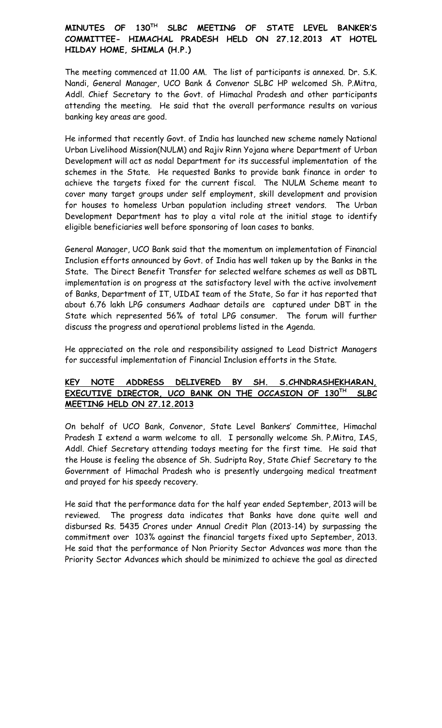## **MINUTES OF 130TH SLBC MEETING OF STATE LEVEL BANKER'S COMMITTEE- HIMACHAL PRADESH HELD ON 27.12.2013 AT HOTEL HILDAY HOME, SHIMLA (H.P.)**

The meeting commenced at 11.00 AM. The list of participants is annexed. Dr. S.K. Nandi, General Manager, UCO Bank & Convenor SLBC HP welcomed Sh. P.Mitra, Addl. Chief Secretary to the Govt. of Himachal Pradesh and other participants attending the meeting. He said that the overall performance results on various banking key areas are good.

He informed that recently Govt. of India has launched new scheme namely National Urban Livelihood Mission(NULM) and Rajiv Rinn Yojana where Department of Urban Development will act as nodal Department for its successful implementation of the schemes in the State. He requested Banks to provide bank finance in order to achieve the targets fixed for the current fiscal. The NULM Scheme meant to cover many target groups under self employment, skill development and provision for houses to homeless Urban population including street vendors. The Urban Development Department has to play a vital role at the initial stage to identify eligible beneficiaries well before sponsoring of loan cases to banks.

General Manager, UCO Bank said that the momentum on implementation of Financial Inclusion efforts announced by Govt. of India has well taken up by the Banks in the State. The Direct Benefit Transfer for selected welfare schemes as well as DBTL implementation is on progress at the satisfactory level with the active involvement of Banks, Department of IT, UIDAI team of the State, So far it has reported that about 6.76 lakh LPG consumers Aadhaar details are captured under DBT in the State which represented 56% of total LPG consumer. The forum will further discuss the progress and operational problems listed in the Agenda.

He appreciated on the role and responsibility assigned to Lead District Managers for successful implementation of Financial Inclusion efforts in the State.

### **KEY NOTE ADDRESS DELIVERED BY SH. S.CHNDRASHEKHARAN, EXECUTIVE DIRECTOR, UCO BANK ON THE OCCASION OF 130TH SLBC MEETING HELD ON 27.12.2013**

On behalf of UCO Bank, Convenor, State Level Bankers' Committee, Himachal Pradesh I extend a warm welcome to all. I personally welcome Sh. P.Mitra, IAS, Addl. Chief Secretary attending todays meeting for the first time. He said that the House is feeling the absence of Sh. Sudripta Roy, State Chief Secretary to the Government of Himachal Pradesh who is presently undergoing medical treatment and prayed for his speedy recovery.

He said that the performance data for the half year ended September, 2013 will be reviewed. The progress data indicates that Banks have done quite well and disbursed Rs. 5435 Crores under Annual Credit Plan (2013-14) by surpassing the commitment over 103% against the financial targets fixed upto September, 2013. He said that the performance of Non Priority Sector Advances was more than the Priority Sector Advances which should be minimized to achieve the goal as directed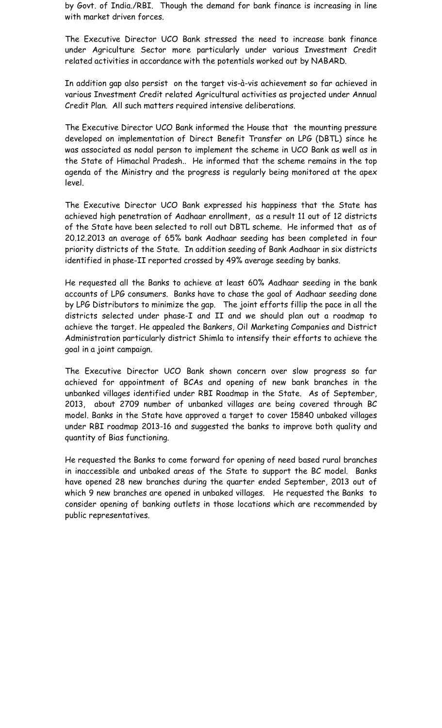by Govt. of India./RBI. Though the demand for bank finance is increasing in line with market driven forces.

The Executive Director UCO Bank stressed the need to increase bank finance under Agriculture Sector more particularly under various Investment Credit related activities in accordance with the potentials worked out by NABARD.

In addition gap also persist on the target vis-à-vis achievement so far achieved in various Investment Credit related Agricultural activities as projected under Annual Credit Plan. All such matters required intensive deliberations.

The Executive Director UCO Bank informed the House that the mounting pressure developed on implementation of Direct Benefit Transfer on LPG (DBTL) since he was associated as nodal person to implement the scheme in UCO Bank as well as in the State of Himachal Pradesh.. He informed that the scheme remains in the top agenda of the Ministry and the progress is regularly being monitored at the apex level.

The Executive Director UCO Bank expressed his happiness that the State has achieved high penetration of Aadhaar enrollment, as a result 11 out of 12 districts of the State have been selected to roll out DBTL scheme. He informed that as of 20.12.2013 an average of 65% bank Aadhaar seeding has been completed in four priority districts of the State. In addition seeding of Bank Aadhaar in six districts identified in phase-II reported crossed by 49% average seeding by banks.

He requested all the Banks to achieve at least 60% Aadhaar seeding in the bank accounts of LPG consumers. Banks have to chase the goal of Aadhaar seeding done by LPG Distributors to minimize the gap. The joint efforts fillip the pace in all the districts selected under phase-I and II and we should plan out a roadmap to achieve the target. He appealed the Bankers, Oil Marketing Companies and District Administration particularly district Shimla to intensify their efforts to achieve the goal in a joint campaign.

The Executive Director UCO Bank shown concern over slow progress so far achieved for appointment of BCAs and opening of new bank branches in the unbanked villages identified under RBI Roadmap in the State. As of September, 2013, about 2709 number of unbanked villages are being covered through BC model. Banks in the State have approved a target to cover 15840 unbaked villages under RBI roadmap 2013-16 and suggested the banks to improve both quality and quantity of Bias functioning.

He requested the Banks to come forward for opening of need based rural branches in inaccessible and unbaked areas of the State to support the BC model. Banks have opened 28 new branches during the quarter ended September, 2013 out of which 9 new branches are opened in unbaked villages. He requested the Banks to consider opening of banking outlets in those locations which are recommended by public representatives.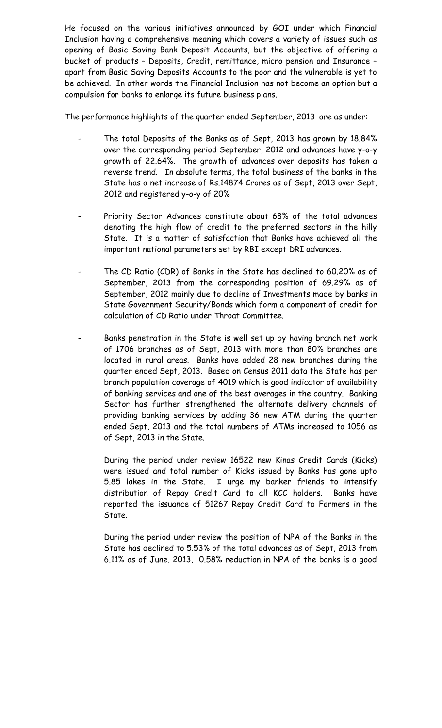He focused on the various initiatives announced by GOI under which Financial Inclusion having a comprehensive meaning which covers a variety of issues such as opening of Basic Saving Bank Deposit Accounts, but the objective of offering a bucket of products – Deposits, Credit, remittance, micro pension and Insurance – apart from Basic Saving Deposits Accounts to the poor and the vulnerable is yet to be achieved. In other words the Financial Inclusion has not become an option but a compulsion for banks to enlarge its future business plans.

The performance highlights of the quarter ended September, 2013 are as under:

- The total Deposits of the Banks as of Sept, 2013 has grown by 18.84% over the corresponding period September, 2012 and advances have y-o-y growth of 22.64%. The growth of advances over deposits has taken a reverse trend. In absolute terms, the total business of the banks in the State has a net increase of Rs.14874 Crores as of Sept, 2013 over Sept, 2012 and registered y-o-y of 20%
- Priority Sector Advances constitute about 68% of the total advances denoting the high flow of credit to the preferred sectors in the hilly State. It is a matter of satisfaction that Banks have achieved all the important national parameters set by RBI except DRI advances.
- The CD Ratio (CDR) of Banks in the State has declined to 60.20% as of September, 2013 from the corresponding position of 69.29% as of September, 2012 mainly due to decline of Investments made by banks in State Government Security/Bonds which form a component of credit for calculation of CD Ratio under Throat Committee.
- Banks penetration in the State is well set up by having branch net work of 1706 branches as of Sept, 2013 with more than 80% branches are located in rural areas. Banks have added 28 new branches during the quarter ended Sept, 2013. Based on Census 2011 data the State has per branch population coverage of 4019 which is good indicator of availability of banking services and one of the best averages in the country. Banking Sector has further strengthened the alternate delivery channels of providing banking services by adding 36 new ATM during the quarter ended Sept, 2013 and the total numbers of ATMs increased to 1056 as of Sept, 2013 in the State.

During the period under review 16522 new Kinas Credit Cards (Kicks) were issued and total number of Kicks issued by Banks has gone upto 5.85 lakes in the State. I urge my banker friends to intensify distribution of Repay Credit Card to all KCC holders. Banks have reported the issuance of 51267 Repay Credit Card to Farmers in the State.

During the period under review the position of NPA of the Banks in the State has declined to 5.53% of the total advances as of Sept, 2013 from 6.11% as of June, 2013, 0.58% reduction in NPA of the banks is a good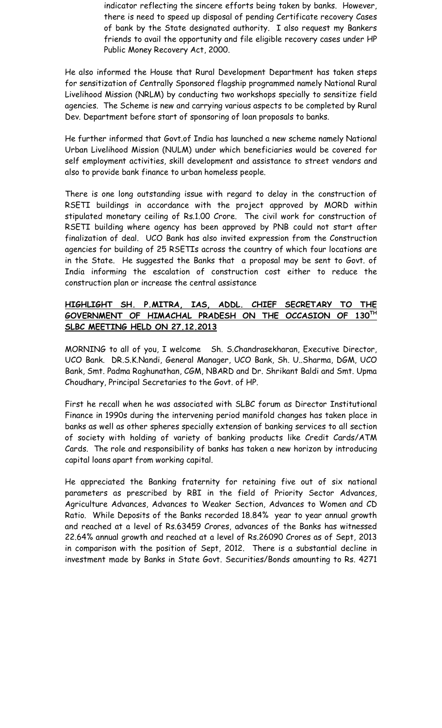indicator reflecting the sincere efforts being taken by banks. However, there is need to speed up disposal of pending Certificate recovery Cases of bank by the State designated authority. I also request my Bankers friends to avail the opportunity and file eligible recovery cases under HP Public Money Recovery Act, 2000.

He also informed the House that Rural Development Department has taken steps for sensitization of Centrally Sponsored flagship programmed namely National Rural Livelihood Mission (NRLM) by conducting two workshops specially to sensitize field agencies. The Scheme is new and carrying various aspects to be completed by Rural Dev. Department before start of sponsoring of loan proposals to banks.

He further informed that Govt.of India has launched a new scheme namely National Urban Livelihood Mission (NULM) under which beneficiaries would be covered for self employment activities, skill development and assistance to street vendors and also to provide bank finance to urban homeless people.

There is one long outstanding issue with regard to delay in the construction of RSETI buildings in accordance with the project approved by MORD within stipulated monetary ceiling of Rs.1.00 Crore. The civil work for construction of RSETI building where agency has been approved by PNB could not start after finalization of deal. UCO Bank has also invited expression from the Construction agencies for building of 25 RSETIs across the country of which four locations are in the State. He suggested the Banks that a proposal may be sent to Govt. of India informing the escalation of construction cost either to reduce the construction plan or increase the central assistance

#### **HIGHLIGHT SH. P.MITRA, IAS, ADDL. CHIEF SECRETARY TO THE GOVERNMENT OF HIMACHAL PRADESH ON THE OCCASION OF 130TH SLBC MEETING HELD ON 27.12.2013**

MORNING to all of you, I welcome Sh. S.Chandrasekharan, Executive Director, UCO Bank. DR.S.K.Nandi, General Manager, UCO Bank, Sh. U..Sharma, DGM, UCO Bank, Smt. Padma Raghunathan, CGM, NBARD and Dr. Shrikant Baldi and Smt. Upma Choudhary, Principal Secretaries to the Govt. of HP.

First he recall when he was associated with SLBC forum as Director Institutional Finance in 1990s during the intervening period manifold changes has taken place in banks as well as other spheres specially extension of banking services to all section of society with holding of variety of banking products like Credit Cards/ATM Cards. The role and responsibility of banks has taken a new horizon by introducing capital loans apart from working capital.

He appreciated the Banking fraternity for retaining five out of six national parameters as prescribed by RBI in the field of Priority Sector Advances, Agriculture Advances, Advances to Weaker Section, Advances to Women and CD Ratio. While Deposits of the Banks recorded 18.84% year to year annual growth and reached at a level of Rs.63459 Crores, advances of the Banks has witnessed 22.64% annual growth and reached at a level of Rs.26090 Crores as of Sept, 2013 in comparison with the position of Sept, 2012. There is a substantial decline in investment made by Banks in State Govt. Securities/Bonds amounting to Rs. 4271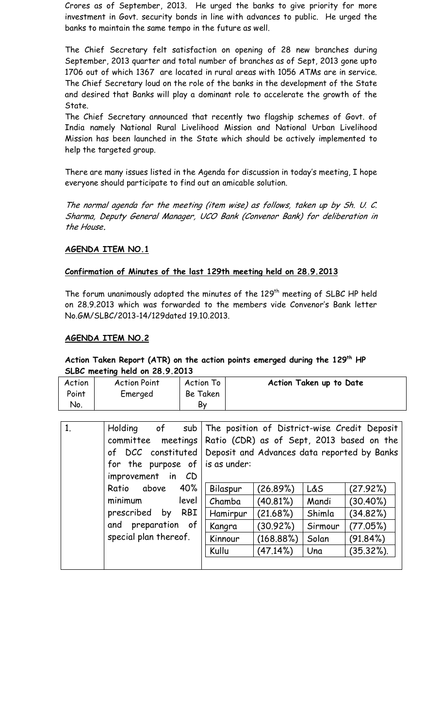Crores as of September, 2013. He urged the banks to give priority for more investment in Govt. security bonds in line with advances to public. He urged the banks to maintain the same tempo in the future as well.

The Chief Secretary felt satisfaction on opening of 28 new branches during September, 2013 quarter and total number of branches as of Sept, 2013 gone upto 1706 out of which 1367 are located in rural areas with 1056 ATMs are in service. The Chief Secretary loud on the role of the banks in the development of the State and desired that Banks will play a dominant role to accelerate the growth of the State.

The Chief Secretary announced that recently two flagship schemes of Govt. of India namely National Rural Livelihood Mission and National Urban Livelihood Mission has been launched in the State which should be actively implemented to help the targeted group.

There are many issues listed in the Agenda for discussion in today's meeting, I hope everyone should participate to find out an amicable solution.

The normal agenda for the meeting (item wise) as follows, taken up by Sh. U. C. Sharma, Deputy General Manager, UCO Bank (Convenor Bank) for deliberation in the House**.**

#### **AGENDA ITEM NO.1**

#### **Confirmation of Minutes of the last 129th meeting held on 28.9.2013**

The forum unanimously adopted the minutes of the 129<sup>th</sup> meeting of SLBC HP held on 28.9.2013 which was forwarded to the members vide Convenor's Bank letter No.GM/SLBC/2013-14/129dated 19.10.2013.

#### **AGENDA ITEM NO.2**

#### **Action Taken Report (ATR) on the action points emerged during the 129th HP SLBC meeting held on 28.9.2013**

| Action | <b>Action Point</b> | Action To | Action Taken up to Date |
|--------|---------------------|-----------|-------------------------|
| Point  | Emerged             | Be Taken  |                         |
| No.    |                     | By        |                         |
|        |                     |           |                         |
|        |                     |           |                         |

| 1. | of<br>Holding<br>sub           |              |                                           |         | The position of District-wise Credit Deposit |  |  |  |
|----|--------------------------------|--------------|-------------------------------------------|---------|----------------------------------------------|--|--|--|
|    | meetings<br>committee          |              | Ratio (CDR) as of Sept, 2013 based on the |         |                                              |  |  |  |
|    | of DCC constituted             |              |                                           |         | Deposit and Advances data reported by Banks  |  |  |  |
|    | for the purpose of             | is as under: |                                           |         |                                              |  |  |  |
|    | improvement in<br>CD           |              |                                           |         |                                              |  |  |  |
|    | 40%<br>above<br>Ratio          | Bilaspur     | (26.89%)                                  | L&S     | (27.92%)                                     |  |  |  |
|    | minimum<br>level               | Chamba       | (40.81%)                                  | Mandi   | $(30.40\%)$                                  |  |  |  |
|    | <b>RBI</b><br>prescribed<br>by | Hamirpur     | (21.68%)                                  | Shimla  | (34.82%)                                     |  |  |  |
|    | and preparation of             | Kangra       | (30.92%)                                  | Sirmour | (77.05%)                                     |  |  |  |
|    | special plan thereof.          | Kinnour      | (168.88%)                                 | Solan   | (91.84%)                                     |  |  |  |
|    |                                | Kullu        | (47.14%)                                  | Una     | $(35.32\%).$                                 |  |  |  |
|    |                                |              |                                           |         |                                              |  |  |  |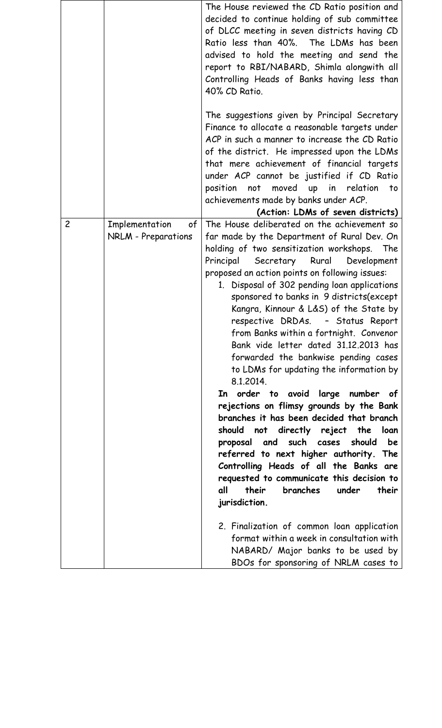|                |                                             | The House reviewed the CD Ratio position and<br>decided to continue holding of sub committee<br>of DLCC meeting in seven districts having CD<br>Ratio less than 40%. The LDMs has been<br>advised to hold the meeting and send the<br>report to RBI/NABARD, Shimla alongwith all<br>Controlling Heads of Banks having less than<br>40% CD Ratio.                                                                                                                                                                                                                                                                                                                                                                                                                                                                                                                                                                                                                                                                                                                                                                          |
|----------------|---------------------------------------------|---------------------------------------------------------------------------------------------------------------------------------------------------------------------------------------------------------------------------------------------------------------------------------------------------------------------------------------------------------------------------------------------------------------------------------------------------------------------------------------------------------------------------------------------------------------------------------------------------------------------------------------------------------------------------------------------------------------------------------------------------------------------------------------------------------------------------------------------------------------------------------------------------------------------------------------------------------------------------------------------------------------------------------------------------------------------------------------------------------------------------|
|                |                                             | The suggestions given by Principal Secretary<br>Finance to allocate a reasonable targets under<br>ACP in such a manner to increase the CD Ratio<br>of the district. He impressed upon the LDMs<br>that mere achievement of financial targets                                                                                                                                                                                                                                                                                                                                                                                                                                                                                                                                                                                                                                                                                                                                                                                                                                                                              |
|                |                                             | under ACP cannot be justified if CD Ratio<br>position<br>not                                                                                                                                                                                                                                                                                                                                                                                                                                                                                                                                                                                                                                                                                                                                                                                                                                                                                                                                                                                                                                                              |
|                |                                             | moved up in relation<br>to<br>achievements made by banks under ACP.                                                                                                                                                                                                                                                                                                                                                                                                                                                                                                                                                                                                                                                                                                                                                                                                                                                                                                                                                                                                                                                       |
|                |                                             | (Action: LDMs of seven districts)                                                                                                                                                                                                                                                                                                                                                                                                                                                                                                                                                                                                                                                                                                                                                                                                                                                                                                                                                                                                                                                                                         |
| $\overline{c}$ | Implementation<br>of<br>NRLM - Preparations | The House deliberated on the achievement so<br>far made by the Department of Rural Dev. On<br>holding of two sensitization workshops.<br>The<br>Principal<br>Secretary<br>Rural<br>Development<br>proposed an action points on following issues:<br>1. Disposal of 302 pending loan applications<br>sponsored to banks in 9 districts(except<br>Kangra, Kinnour & L&S) of the State by<br>respective DRDAs. - Status Report<br>from Banks within a fortnight. Convenor<br>Bank vide letter dated 31.12.2013 has<br>forwarded the bankwise pending cases<br>to LDMs for updating the information by<br>8.1.2014.<br>In order to avoid large number of<br>rejections on flimsy grounds by the Bank<br>branches it has been decided that branch<br>should not directly reject the<br>loan<br>proposal and such cases should<br>be<br>referred to next higher authority. The<br>Controlling Heads of all the Banks are<br>requested to communicate this decision to<br>all<br>their<br>branches<br>under<br>their<br>jurisdiction.<br>2. Finalization of common loan application<br>format within a week in consultation with |
|                |                                             | NABARD/ Major banks to be used by<br>BDOs for sponsoring of NRLM cases to                                                                                                                                                                                                                                                                                                                                                                                                                                                                                                                                                                                                                                                                                                                                                                                                                                                                                                                                                                                                                                                 |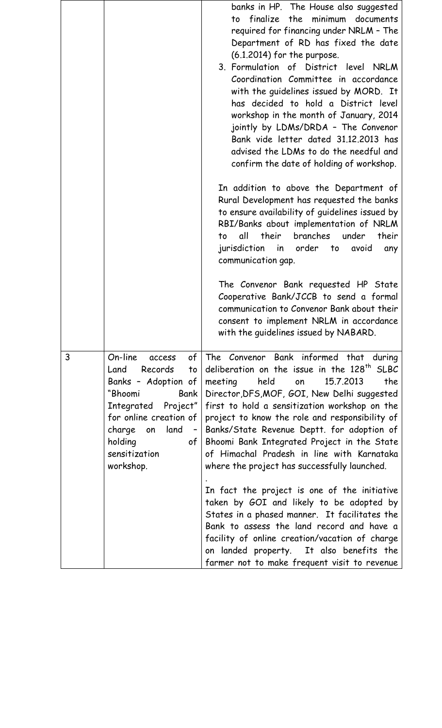|   |                                                                                                                                                                                                                              | banks in HP. The House also suggested<br>finalize the minimum documents<br>to<br>required for financing under NRLM - The<br>Department of RD has fixed the date<br>$(6.1.2014)$ for the purpose.<br>3. Formulation of District level NRLM<br>Coordination Committee in accordance<br>with the guidelines issued by MORD. It<br>has decided to hold a District level<br>workshop in the month of January, 2014<br>jointly by LDMs/DRDA - The Convenor<br>Bank vide letter dated 31.12.2013 has<br>advised the LDMs to do the needful and<br>confirm the date of holding of workshop.<br>In addition to above the Department of<br>Rural Development has requested the banks<br>to ensure availability of guidelines issued by<br>RBI/Banks about implementation of NRLM<br>all their branches under<br>their<br>to<br>jurisdiction in order to avoid<br>any<br>communication gap.<br>The Convenor Bank requested HP State<br>Cooperative Bank/JCCB to send a formal<br>communication to Convenor Bank about their<br>consent to implement NRLM in accordance<br>with the guidelines issued by NABARD. |
|---|------------------------------------------------------------------------------------------------------------------------------------------------------------------------------------------------------------------------------|------------------------------------------------------------------------------------------------------------------------------------------------------------------------------------------------------------------------------------------------------------------------------------------------------------------------------------------------------------------------------------------------------------------------------------------------------------------------------------------------------------------------------------------------------------------------------------------------------------------------------------------------------------------------------------------------------------------------------------------------------------------------------------------------------------------------------------------------------------------------------------------------------------------------------------------------------------------------------------------------------------------------------------------------------------------------------------------------------|
| 3 | On-line<br>of<br>access<br>Land<br>Records<br>to<br>Banks - Adoption of<br>"Bhoomi<br>Bank<br>Integrated Project"<br>for online creation of<br>charge<br>land<br>on<br>$\sim$<br>holding<br>of<br>sensitization<br>workshop. | The Convenor Bank informed that during<br>deliberation on the issue in the 128 <sup>th</sup> SLBC<br>held<br>15.7.2013<br>the<br>meeting<br>on<br>Director, DFS, MOF, GOI, New Delhi suggested<br>first to hold a sensitization workshop on the<br>project to know the role and responsibility of<br>Banks/State Revenue Deptt. for adoption of<br>Bhoomi Bank Integrated Project in the State<br>of Himachal Pradesh in line with Karnataka<br>where the project has successfully launched.<br>In fact the project is one of the initiative<br>taken by GOI and likely to be adopted by<br>States in a phased manner. It facilitates the<br>Bank to assess the land record and have a<br>facility of online creation/vacation of charge<br>on landed property. It also benefits the<br>farmer not to make frequent visit to revenue                                                                                                                                                                                                                                                                 |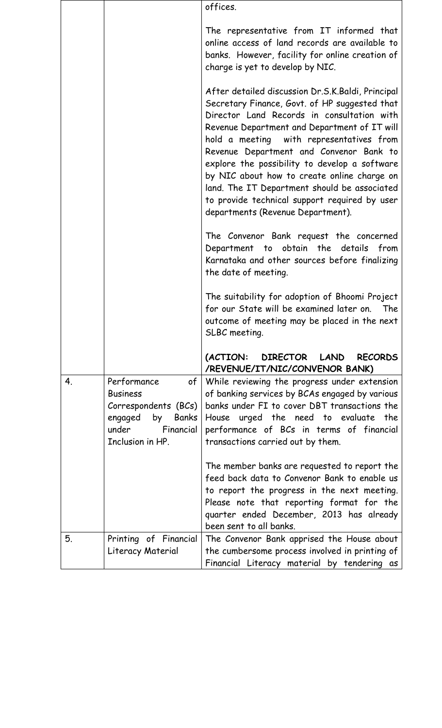|    |                                                                                                                            | offices.                                                                                                                                                                                                                                                                                                                                                                                                                                                                                                                      |
|----|----------------------------------------------------------------------------------------------------------------------------|-------------------------------------------------------------------------------------------------------------------------------------------------------------------------------------------------------------------------------------------------------------------------------------------------------------------------------------------------------------------------------------------------------------------------------------------------------------------------------------------------------------------------------|
|    |                                                                                                                            | The representative from IT informed that<br>online access of land records are available to<br>banks. However, facility for online creation of<br>charge is yet to develop by NIC.                                                                                                                                                                                                                                                                                                                                             |
|    |                                                                                                                            | After detailed discussion Dr.S.K.Baldi, Principal<br>Secretary Finance, Govt. of HP suggested that<br>Director Land Records in consultation with<br>Revenue Department and Department of IT will<br>hold a meeting with representatives from<br>Revenue Department and Convenor Bank to<br>explore the possibility to develop a software<br>by NIC about how to create online charge on<br>land. The IT Department should be associated<br>to provide technical support required by user<br>departments (Revenue Department). |
|    |                                                                                                                            | The Convenor Bank request the concerned<br>Department to obtain the details<br>from<br>Karnataka and other sources before finalizing<br>the date of meeting.                                                                                                                                                                                                                                                                                                                                                                  |
|    |                                                                                                                            | The suitability for adoption of Bhoomi Project<br>for our State will be examined later on. The<br>outcome of meeting may be placed in the next<br>SLBC meeting.                                                                                                                                                                                                                                                                                                                                                               |
|    |                                                                                                                            | (ACTION: DIRECTOR LAND RECORDS<br>/REVENUE/IT/NIC/CONVENOR BANK)                                                                                                                                                                                                                                                                                                                                                                                                                                                              |
| 4. | Performance<br>of<br><b>Business</b><br>Correspondents (BCs)<br>engaged by Banks<br>under<br>Financial<br>Inclusion in HP. | While reviewing the progress under extension<br>of banking services by BCAs engaged by various<br>banks under FI to cover DBT transactions the<br>House urged the need to evaluate the<br>performance of BCs in terms of financial<br>transactions carried out by them.                                                                                                                                                                                                                                                       |
|    |                                                                                                                            | The member banks are requested to report the<br>feed back data to Convenor Bank to enable us<br>to report the progress in the next meeting.<br>Please note that reporting format for the<br>quarter ended December, 2013 has already<br>been sent to all banks.                                                                                                                                                                                                                                                               |
| 5. | Printing of Financial<br>Literacy Material                                                                                 | The Convenor Bank apprised the House about<br>the cumbersome process involved in printing of<br>Financial Literacy material by tendering as                                                                                                                                                                                                                                                                                                                                                                                   |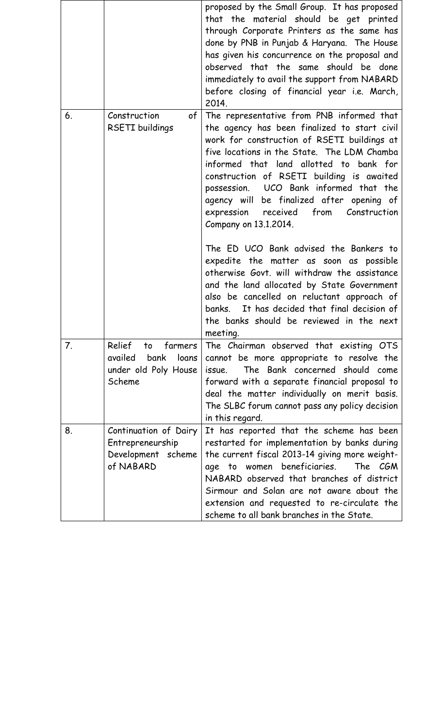|    |                                                                                       | proposed by the Small Group. It has proposed<br>that the material should be get printed<br>through Corporate Printers as the same has<br>done by PNB in Punjab & Haryana. The House<br>has given his concurrence on the proposal and<br>observed that the same should be done<br>immediately to avail the support from NABARD<br>before closing of financial year i.e. March,<br>2014.                                                                                                                                                                                                                                      |
|----|---------------------------------------------------------------------------------------|-----------------------------------------------------------------------------------------------------------------------------------------------------------------------------------------------------------------------------------------------------------------------------------------------------------------------------------------------------------------------------------------------------------------------------------------------------------------------------------------------------------------------------------------------------------------------------------------------------------------------------|
| 6. | Construction<br>of <sub>l</sub><br><b>RSETI</b> buildings                             | The representative from PNB informed that<br>the agency has been finalized to start civil<br>work for construction of RSETI buildings at<br>five locations in the State. The LDM Chamba<br>informed that land allotted to bank for<br>construction of RSETI building is awaited<br>possession. UCO Bank informed that the<br>agency will be finalized after opening of<br>expression received from Construction<br>Company on 13.1.2014.<br>The ED UCO Bank advised the Bankers to<br>expedite the matter as soon as possible<br>otherwise Govt. will withdraw the assistance<br>and the land allocated by State Government |
|    |                                                                                       | also be cancelled on reluctant approach of<br>It has decided that final decision of<br>banks.<br>the banks should be reviewed in the next<br>meeting.                                                                                                                                                                                                                                                                                                                                                                                                                                                                       |
| 7. | Relief<br>farmers<br>to<br>availed<br>bank<br>loans<br>under old Poly House<br>Scheme | The Chairman observed that existing OTS<br>cannot be more appropriate to resolve the<br>The Bank concerned should come<br>issue.<br>forward with a separate financial proposal to<br>deal the matter individually on merit basis.<br>The SLBC forum cannot pass any policy decision<br>in this regard.                                                                                                                                                                                                                                                                                                                      |
| 8. | Continuation of Dairy<br>Entrepreneurship<br>Development scheme<br>of NABARD          | It has reported that the scheme has been<br>restarted for implementation by banks during<br>the current fiscal 2013-14 giving more weight-<br>women beneficiaries.<br>The CGM<br>age<br>to<br>NABARD observed that branches of district<br>Sirmour and Solan are not aware about the<br>extension and requested to re-circulate the<br>scheme to all bank branches in the State.                                                                                                                                                                                                                                            |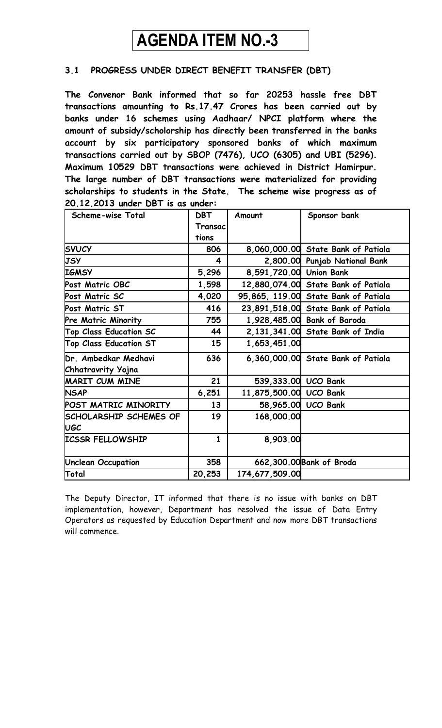# **AGENDA ITEM NO.-3**

## **3.1 PROGRESS UNDER DIRECT BENEFIT TRANSFER (DBT)**

**The Convenor Bank informed that so far 20253 hassle free DBT transactions amounting to Rs.17.47 Crores has been carried out by banks under 16 schemes using Aadhaar/ NPCI platform where the amount of subsidy/scholorship has directly been transferred in the banks account by six participatory sponsored banks of which maximum transactions carried out by SBOP (7476), UCO (6305) and UBI (5296). Maximum 10529 DBT transactions were achieved in District Hamirpur. The large number of DBT transactions were materialized for providing scholarships to students in the State. The scheme wise progress as of 20.12.2013 under DBT is as under:**

| Scheme-wise Total             | <b>DBT</b>   | Amount                  | Sponsor bank                         |
|-------------------------------|--------------|-------------------------|--------------------------------------|
|                               | Transac      |                         |                                      |
|                               | tions        |                         |                                      |
| <b>SVUCY</b>                  | 806          |                         | 8,060,000.00 State Bank of Patiala   |
| <b>JSY</b>                    | 4            |                         | 2,800.00 Punjab National Bank        |
| <b>IGMSY</b>                  | 5,296        | 8,591,720.00 Union Bank |                                      |
| Post Matric OBC               | 1,598        |                         | 12,880,074.00 State Bank of Patiala  |
| Post Matric SC                | 4,020        |                         | 95,865, 119.00 State Bank of Patiala |
| Post Matric ST                | 416          |                         | 23,891,518.00 State Bank of Patiala  |
| <b>Pre Matric Minority</b>    | 755          |                         | 1,928,485.00 Bank of Baroda          |
| <b>Top Class Education SC</b> | 44           |                         | 2,131,341.00 State Bank of India     |
| <b>Top Class Education ST</b> | 15           | 1,653,451.00            |                                      |
| Dr. Ambedkar Medhavi          | 636          |                         | 6,360,000.00 State Bank of Patiala   |
| Chhatravrity Yojna            |              |                         |                                      |
| <b>MARIT CUM MINE</b>         | 21           | 539,333.00 UCO Bank     |                                      |
| <b>NSAP</b>                   | 6,251        | 11,875,500.00 UCO Bank  |                                      |
| POST MATRIC MINORITY          | 13           |                         | 58,965.00 UCO Bank                   |
| <b>SCHOLARSHIP SCHEMES OF</b> | 19           | 168,000.00              |                                      |
| <b>UGC</b>                    |              |                         |                                      |
| <b>ICSSR FELLOWSHIP</b>       | $\mathbf{1}$ | 8,903.00                |                                      |
| <b>Unclean Occupation</b>     | 358          |                         | 662,300.00 Bank of Broda             |
| Total                         | 20,253       | 174,677,509.00          |                                      |

The Deputy Director, IT informed that there is no issue with banks on DBT implementation, however, Department has resolved the issue of Data Entry Operators as requested by Education Department and now more DBT transactions will commence.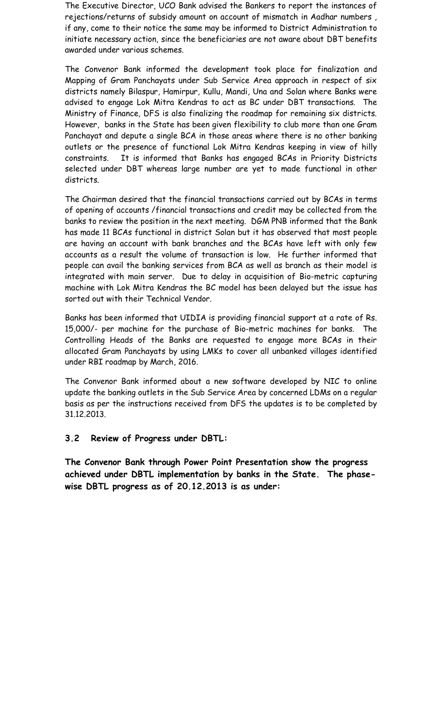The Executive Director, UCO Bank advised the Bankers to report the instances of rejections/returns of subsidy amount on account of mismatch in Aadhar numbers , if any, come to their notice the same may be informed to District Administration to initiate necessary action, since the beneficiaries are not aware about DBT benefits awarded under various schemes.

The Convenor Bank informed the development took place for finalization and Mapping of Gram Panchayats under Sub Service Area approach in respect of six districts namely Bilaspur, Hamirpur, Kullu, Mandi, Una and Solan where Banks were advised to engage Lok Mitra Kendras to act as BC under DBT transactions. The Ministry of Finance, DFS is also finalizing the roadmap for remaining six districts. However, banks in the State has been given flexibility to club more than one Gram Panchayat and depute a single BCA in those areas where there is no other banking outlets or the presence of functional Lok Mitra Kendras keeping in view of hilly constraints. It is informed that Banks has engaged BCAs in Priority Districts selected under DBT whereas large number are yet to made functional in other districts.

The Chairman desired that the financial transactions carried out by BCAs in terms of opening of accounts /financial transactions and credit may be collected from the banks to review the position in the next meeting. DGM PNB informed that the Bank has made 11 BCAs functional in district Solan but it has observed that most people are having an account with bank branches and the BCAs have left with only few accounts as a result the volume of transaction is low. He further informed that people can avail the banking services from BCA as well as branch as their model is integrated with main server. Due to delay in acquisition of Bio-metric capturing machine with Lok Mitra Kendras the BC model has been delayed but the issue has sorted out with their Technical Vendor.

Banks has been informed that UIDIA is providing financial support at a rate of Rs. 15,000/- per machine for the purchase of Bio-metric machines for banks. The Controlling Heads of the Banks are requested to engage more BCAs in their allocated Gram Panchayats by using LMKs to cover all unbanked villages identified under RBI roadmap by March, 2016.

The Convenor Bank informed about a new software developed by NIC to online update the banking outlets in the Sub Service Area by concerned LDMs on a regular basis as per the instructions received from DFS the updates is to be completed by 31.12.2013.

#### **3.2 Review of Progress under DBTL:**

**The Convenor Bank through Power Point Presentation show the progress achieved under DBTL implementation by banks in the State. The phasewise DBTL progress as of 20.12.2013 is as under:**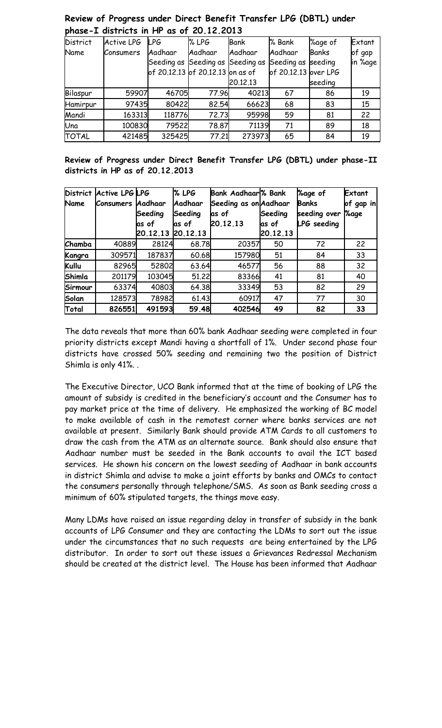| DRUSE-I GISTRICIS IN FIF US OF EV.IE.EVIJ |                   |                                  |         |             |                      |              |         |  |  |  |
|-------------------------------------------|-------------------|----------------------------------|---------|-------------|----------------------|--------------|---------|--|--|--|
| <b>District</b>                           | <b>Active LPG</b> | LPG.                             | % LPG   | <b>Bank</b> | % Bank               | %age of      | Extant  |  |  |  |
| Name                                      | Consumers         | Aadhaar                          | Aadhaar | Aadhaar     | Aadhaar              | <b>Banks</b> | of gap  |  |  |  |
|                                           |                   | Seeding as Seeding as Seeding as |         |             | Seeding as seeding   |              | in %age |  |  |  |
|                                           |                   | of 20.12.13 of 20.12.13 on as of |         |             | of 20.12.13 over LPG |              |         |  |  |  |
|                                           |                   |                                  |         | 20.12.13    |                      | seeding      |         |  |  |  |
| Bilaspur                                  | 59907             | 46705                            | 77.96   | 40213       | 67                   | 86           | 19      |  |  |  |
| Hamirpur                                  | 97435             | 80422                            | 82.54   | 66623       | 68                   | 83           | 15      |  |  |  |
| Mandi                                     | 163313            | 118776                           | 72.73   | 95998       | 59                   | 81           | 22      |  |  |  |
| Una                                       | 100830            | 79522                            | 78.87   | 71139       | 71                   | 89           | 18      |  |  |  |
| <b>TOTAL</b>                              | 421485            | 325425                           | 77.21   | 273973      | 65                   | 84           | 19      |  |  |  |

### **Review of Progress under Direct Benefit Transfer LPG (DBTL) under phase-I districts in HP as of 20.12.2013**

**Review of Progress under Direct Benefit Transfer LPG (DBTL) under phase-II districts in HP as of 20.12.2013**

| <b>District</b><br>Name | <b>Active LPG LPG</b><br><b>Consumers</b> | Aadhaar           | % LPG<br>Aadhaar | <b>Bank Aadhaar</b> % Bank<br>Seeding as on Aadhaar |          | <b>Yage of</b><br>Banks | Extant<br>of gap in |
|-------------------------|-------------------------------------------|-------------------|------------------|-----------------------------------------------------|----------|-------------------------|---------------------|
|                         |                                           | Seeding           | Seeding          | as of                                               | Seeding  | seeding over            | <b>%age</b>         |
|                         |                                           | las of            | las of           | 20.12.13                                            | las of   | <b>LPG</b> seeding      |                     |
|                         |                                           | 20.12.13 20.12.13 |                  |                                                     | 20.12.13 |                         |                     |
| Chamba                  | 40889                                     | 28124             | 68.78            | 20357                                               | 50       | 72                      | 22                  |
| Kangra                  | 309571                                    | 187837            | 60.68            | 157980                                              | 51       | 84                      | 33                  |
| Kullu                   | 82965                                     | 52802             | 63.64            | 46577                                               | 56       | 88                      | 32                  |
| Shimla                  | 201179                                    | 103045            | 51.22            | 83366                                               | 41       | 81                      | 40                  |
| Sirmour                 | 63374                                     | 40803             | 64.38            | 33349                                               | 53       | 82                      | 29                  |
| Solan                   | 128573                                    | 78982             | 61.43            | 60917                                               | 47       | 77                      | 30                  |
| Total                   | 826551                                    | 491593            | 59.48            | 402546                                              | 49       | 82                      | 33                  |

The data reveals that more than 60% bank Aadhaar seeding were completed in four priority districts except Mandi having a shortfall of 1%. Under second phase four districts have crossed 50% seeding and remaining two the position of District Shimla is only 41%. .

The Executive Director, UCO Bank informed that at the time of booking of LPG the amount of subsidy is credited in the beneficiary's account and the Consumer has to pay market price at the time of delivery. He emphasized the working of BC model to make available of cash in the remotest corner where banks services are not available at present. Similarly Bank should provide ATM Cards to all customers to draw the cash from the ATM as an alternate source. Bank should also ensure that Aadhaar number must be seeded in the Bank accounts to avail the ICT based services. He shown his concern on the lowest seeding of Aadhaar in bank accounts in district Shimla and advise to make a joint efforts by banks and OMCs to contact the consumers personally through telephone/SMS. As soon as Bank seeding cross a minimum of 60% stipulated targets, the things move easy.

Many LDMs have raised an issue regarding delay in transfer of subsidy in the bank accounts of LPG Consumer and they are contacting the LDMs to sort out the issue under the circumstances that no such requests are being entertained by the LPG distributor. In order to sort out these issues a Grievances Redressal Mechanism should be created at the district level. The House has been informed that Aadhaar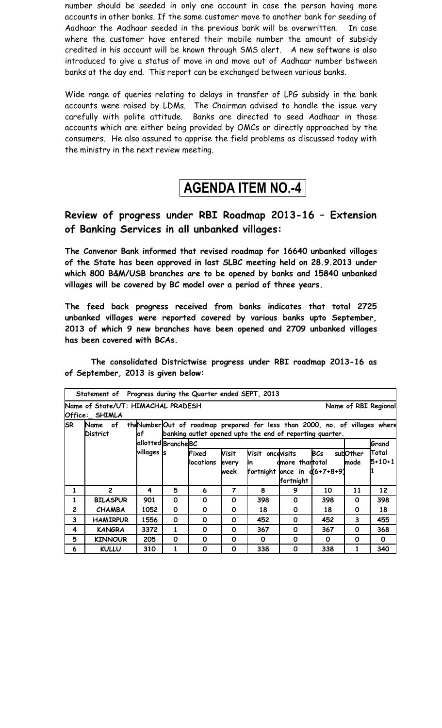number should be seeded in only one account in case the person having more accounts in other banks. If the same customer move to another bank for seeding of Aadhaar the Aadhaar seeded in the previous bank will be overwritten. In case where the customer have entered their mobile number the amount of subsidy credited in his account will be known through SMS alert. A new software is also introduced to give a status of move in and move out of Aadhaar number between banks at the day end. This report can be exchanged between various banks.

Wide range of queries relating to delays in transfer of LPG subsidy in the bank accounts were raised by LDMs. The Chairman advised to handle the issue very carefully with polite attitude. Banks are directed to seed Aadhaar in those accounts which are either being provided by OMCs or directly approached by the consumers. He also assured to apprise the field problems as discussed today with the ministry in the next review meeting.

# **AGENDA ITEM NO.-4**

## **Review of progress under RBI Roadmap 2013-16 – Extension of Banking Services in all unbanked villages:**

**The Convenor Bank informed that revised roadmap for 16640 unbanked villages of the State has been approved in last SLBC meeting held on 28.9.2013 under which 800 B&M/USB branches are to be opened by banks and 15840 unbanked villages will be covered by BC model over a period of three years.**

**The feed back progress received from banks indicates that total 2725 unbanked villages were reported covered by various banks upto September, 2013 of which 9 new branches have been opened and 2709 unbanked villages has been covered with BCAs.** 

**The consolidated Districtwise progress under RBI roadmap 2013-16 as of September, 2013 is given below:**

| Statement of Progress during the Quarter ended SEPT, 2013 |                                                                                                                                                                              |                       |                    |                     |                        |                                                           |                              |            |                   |                       |
|-----------------------------------------------------------|------------------------------------------------------------------------------------------------------------------------------------------------------------------------------|-----------------------|--------------------|---------------------|------------------------|-----------------------------------------------------------|------------------------------|------------|-------------------|-----------------------|
|                                                           | Name of State/UT: HIMACHAL PRADESH<br>Name of RBI Regional<br>Office: SHIMLA                                                                                                 |                       |                    |                     |                        |                                                           |                              |            |                   |                       |
| <b>SR</b>                                                 | theNumber Out of roadmap prepared for less than 2000, no. of villages where<br>Name of<br>banking outlet opened upto the end of reporting quarter.<br><b>District</b><br>lof |                       |                    |                     |                        |                                                           |                              |            |                   |                       |
|                                                           |                                                                                                                                                                              |                       | allotted BrancheBC |                     |                        |                                                           |                              |            |                   | Grand                 |
|                                                           |                                                                                                                                                                              | villages <sub>s</sub> |                    | Fixed<br>llocations | Visit<br>every<br>week | Visit oncevisits<br>lin<br>fortnight once in $d(6+7+8+9)$ | dmore thantotal<br>fortnight | <b>BCs</b> | subOther<br>Imode | Total<br>$5 + 10 + 1$ |
| 1                                                         | $\overline{c}$                                                                                                                                                               | 4                     | 5                  | 6                   | 7                      | 8                                                         | 9                            | 10         | 11                | 12                    |
| 1                                                         | <b>BILASPUR</b>                                                                                                                                                              | 901                   | 0                  | 0                   | 0                      | 398                                                       | $\Omega$                     | 398        | 0                 | 398                   |
| $\overline{2}$                                            | <b>CHAMBA</b>                                                                                                                                                                | 1052                  | 0                  | 0                   | 0                      | 18                                                        | 0                            | 18         | 0                 | 18                    |
| 3                                                         | <b>HAMIRPUR</b>                                                                                                                                                              | 1556                  | 0                  | 0                   | 0                      | 452                                                       | 0                            | 452        | 3                 | 455                   |
| 4                                                         | <b>KANGRA</b>                                                                                                                                                                | 3372                  | 1                  | 0                   | O                      | 367                                                       | 0                            | 367        | 0                 | 368                   |
| 5                                                         | <b>KINNOUR</b>                                                                                                                                                               | 205                   | 0                  | 0                   | 0                      | 0                                                         | 0                            | 0          | 0                 | 0                     |
| 6                                                         | <b>KULLU</b>                                                                                                                                                                 | 310                   | 1                  | O                   | 0                      | 338                                                       | 0                            | 338        |                   | 340                   |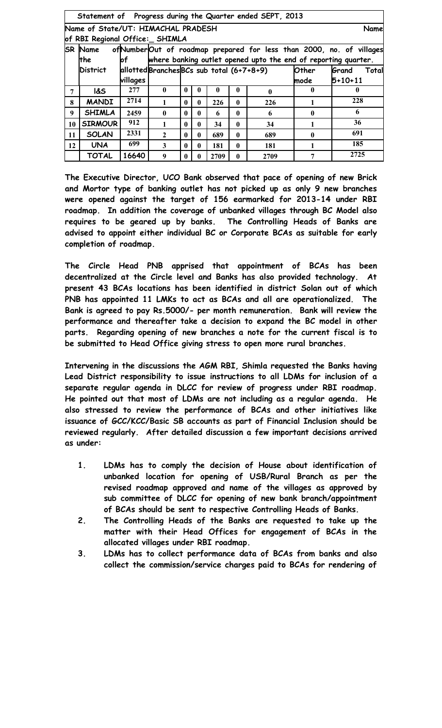|    | Statement of Progress during the Quarter ended SEPT, 2013 |          |                                           |              |              |              |              |                                                                |              |                                                                     |
|----|-----------------------------------------------------------|----------|-------------------------------------------|--------------|--------------|--------------|--------------|----------------------------------------------------------------|--------------|---------------------------------------------------------------------|
|    | Name of State/UT: HIMACHAL PRADESH<br>Name                |          |                                           |              |              |              |              |                                                                |              |                                                                     |
|    | of RBI Regional Office: SHIMLA                            |          |                                           |              |              |              |              |                                                                |              |                                                                     |
|    | <b>SR Name</b>                                            |          |                                           |              |              |              |              |                                                                |              | ofNumberOut of roadmap prepared for less than 2000, no. of villages |
|    | <b>the</b>                                                | lof      |                                           |              |              |              |              | where banking outlet opened upto the end of reporting quarter. |              |                                                                     |
|    | District                                                  |          | allotted Branches BCs sub total (6+7+8+9) |              |              |              |              |                                                                | Other        | Grand<br>Total                                                      |
|    |                                                           | villages |                                           |              |              |              |              |                                                                | mode         | $5 + 10 + 11$                                                       |
| 7  | <b>1&amp;S</b>                                            | 277      | $\mathbf{0}$                              | 0            | $\mathbf{0}$ | $\mathbf{0}$ | $\mathbf{0}$ | $\mathbf{0}$                                                   | $\mathbf{0}$ | $\bf{0}$                                                            |
| 8  | <b>MANDI</b>                                              | 2714     | 1                                         | $\mathbf{0}$ | $\mathbf{0}$ | 226          | $\mathbf{0}$ | 226                                                            |              | 228                                                                 |
| 9  | <b>SHIMLA</b>                                             | 2459     | $\mathbf{0}$                              | 0            | $\mathbf{0}$ | 6            | $\mathbf{0}$ | 6                                                              | $\mathbf{0}$ | 6                                                                   |
| 10 | <b>SIRMOUR</b>                                            | 912      | 1                                         | 0            | $\mathbf{0}$ | 34           | $\mathbf{0}$ | 34                                                             | 1            | 36                                                                  |
| 11 | <b>SOLAN</b>                                              | 2331     | $\overline{2}$                            | $\mathbf{0}$ | $\mathbf{0}$ | 689          | $\mathbf{0}$ | 689                                                            | $\mathbf{0}$ | 691                                                                 |
| 12 | <b>UNA</b>                                                | 699      | 3                                         | $\mathbf{0}$ | $\mathbf{0}$ | 181          | $\mathbf{0}$ | 181                                                            |              | 185                                                                 |
|    | <b>TOTAL</b>                                              | 16640    | 9                                         | 0            | 0            | 2709         | $\mathbf{0}$ | 2709                                                           | 7            | 2725                                                                |

**The Executive Director, UCO Bank observed that pace of opening of new Brick and Mortor type of banking outlet has not picked up as only 9 new branches were opened against the target of 156 earmarked for 2013-14 under RBI roadmap. In addition the coverage of unbanked villages through BC Model also requires to be geared up by banks. The Controlling Heads of Banks are advised to appoint either individual BC or Corporate BCAs as suitable for early completion of roadmap.** 

**The Circle Head PNB apprised that appointment of BCAs has been decentralized at the Circle level and Banks has also provided technology. At present 43 BCAs locations has been identified in district Solan out of which PNB has appointed 11 LMKs to act as BCAs and all are operationalized. The Bank is agreed to pay Rs.5000/- per month remuneration. Bank will review the performance and thereafter take a decision to expand the BC model in other parts. Regarding opening of new branches a note for the current fiscal is to be submitted to Head Office giving stress to open more rural branches.**

**Intervening in the discussions the AGM RBI, Shimla requested the Banks having Lead District responsibility to issue instructions to all LDMs for inclusion of a separate regular agenda in DLCC for review of progress under RBI roadmap. He pointed out that most of LDMs are not including as a regular agenda. He also stressed to review the performance of BCAs and other initiatives like issuance of GCC/KCC/Basic SB accounts as part of Financial Inclusion should be reviewed regularly. After detailed discussion a few important decisions arrived as under:**

- **1. LDMs has to comply the decision of House about identification of unbanked location for opening of USB/Rural Branch as per the revised roadmap approved and name of the villages as approved by sub committee of DLCC for opening of new bank branch/appointment of BCAs should be sent to respective Controlling Heads of Banks.**
- **2. The Controlling Heads of the Banks are requested to take up the matter with their Head Offices for engagement of BCAs in the allocated villages under RBI roadmap.**
- **3. LDMs has to collect performance data of BCAs from banks and also collect the commission/service charges paid to BCAs for rendering of**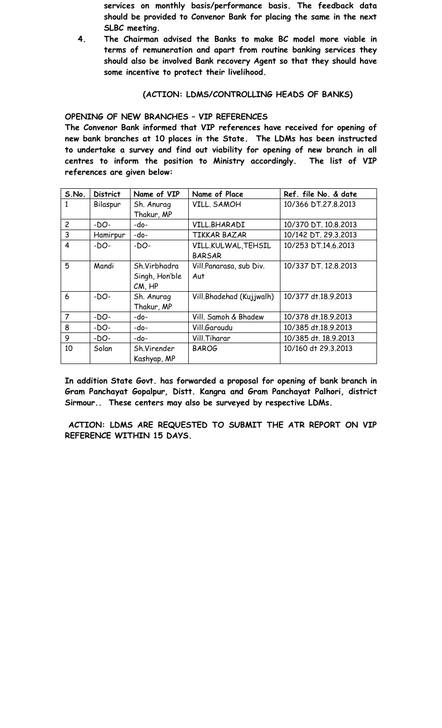**services on monthly basis/performance basis. The feedback data should be provided to Convenor Bank for placing the same in the next SLBC meeting.**

**4. The Chairman advised the Banks to make BC model more viable in terms of remuneration and apart from routine banking services they should also be involved Bank recovery Agent so that they should have some incentive to protect their livelihood.**

#### **(ACTION: LDMS/CONTROLLING HEADS OF BANKS)**

**OPENING OF NEW BRANCHES – VIP REFERENCES**

**The Convenor Bank informed that VIP references have received for opening of new bank branches at 10 places in the State. The LDMs has been instructed to undertake a survey and find out viability for opening of new branch in all centres to inform the position to Ministry accordingly. The list of VIP references are given below:**

| S.No.          | <b>District</b> | Name of VIP    | Name of Place            | Ref. file No. & date |
|----------------|-----------------|----------------|--------------------------|----------------------|
| 1              | Bilaspur        | Sh. Anurag     | VILL. SAMOH              | 10/366 DT.27.8.2013  |
|                |                 | Thakur, MP     |                          |                      |
| $\overline{c}$ | $-DO-$          | -do-           | VILL.BHARADI             | 10/370 DT. 10.8.2013 |
| 3              | Hamirpur        | -do-           | TIKKAR BAZAR             | 10/142 DT. 29.3.2013 |
| 4              | -DO-            | $-DO-$         | VILL.KULWAL, TEHSIL      | 10/253 DT.14.6.2013  |
|                |                 |                | <b>BARSAR</b>            |                      |
| 5              | Mandi           | Sh.Virbhadra   | Vill.Panarasa, sub Div.  | 10/337 DT. 12.8.2013 |
|                |                 | Singh, Hon'ble | Aut                      |                      |
|                |                 | $CM$ , $HP$    |                          |                      |
| 6              | -DO-            | Sh. Anurag     | Vill.Bhadehad (Kujjwalh) | 10/377 dt.18.9.2013  |
|                |                 | Thakur, MP     |                          |                      |
| $\overline{7}$ | $-DO-$          | -do-           | Vill. Samoh & Bhadew     | 10/378 dt.18.9.2013  |
| 8              | -DO-            | -do-           | Vill, Garoudu            | 10/385 dt.18.9.2013  |
| 9              | $-DO-$          | -do-           | Vill.Tiharar             | 10/385 dt. 18.9.2013 |
| 10             | Solan           | Sh.Virender    | <b>BAROG</b>             | 10/160 dt 29.3.2013  |
|                |                 | Kashyap, MP    |                          |                      |

**In addition State Govt. has forwarded a proposal for opening of bank branch in Gram Panchayat Gopalpur, Distt. Kangra and Gram Panchayat Palhori, district Sirmour.. These centers may also be surveyed by respective LDMs.**

**ACTION: LDMS ARE REQUESTED TO SUBMIT THE ATR REPORT ON VIP REFERENCE WITHIN 15 DAYS.**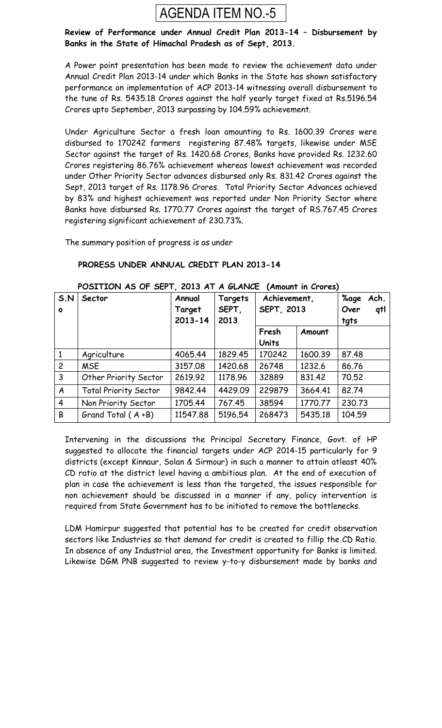

#### **Review of Performance under Annual Credit Plan 2013-14 – Disbursement by Banks in the State of Himachal Pradesh as of Sept, 2013.**

A Power point presentation has been made to review the achievement data under Annual Credit Plan 2013-14 under which Banks in the State has shown satisfactory performance on implementation of ACP 2013-14 witnessing overall disbursement to the tune of Rs. 5435.18 Crores against the half yearly target fixed at Rs.5196.54 Crores upto September, 2013 surpassing by 104.59% achievement.

Under Agriculture Sector a fresh loan amounting to Rs. 1600.39 Crores were disbursed to 170242 farmers registering 87.48% targets, likewise under MSE Sector against the target of Rs. 1420.68 Crores, Banks have provided Rs. 1232.60 Crores registering 86.76% achievement whereas lowest achievement was recorded under Other Priority Sector advances disbursed only Rs. 831.42 Crores against the Sept, 2013 target of Rs. 1178.96 Crores. Total Priority Sector Advances achieved by 83% and highest achievement was reported under Non Priority Sector where Banks have disbursed Rs. 1770.77 Crores against the target of RS.767.45 Crores registering significant achievement of 230.73%.

The summary position of progress is as under

#### **S.N o Sector Annual Target 2013-14 Targets SEPT, 2013 Achievement, SEPT, 2013 %age Ach. Over qtl tgts Fresh Units Amount** 1 Agriculture 4065.44 1829.45 170242 1600.39 87.48 2 | MSE | 3157.08 | 1420.68 | 26748 | 1232.6 | 86.76 3 | Other Priority Sector | 2619.92 | 1178.96 | 32889 | 831.42 | 70.52 A Total Priority Sector 9842.44 4429.09 229879 3664.41 82.74 4 | Non Priority Sector | 1705.44 | 767.45 | 38594 | 1770.77 | 230.73 B | Grand Total ( $A + B$ ) | 11547.88 | 5196.54 | 268473 | 5435.18 | 104.59

#### **PRORESS UNDER ANNUAL CREDIT PLAN 2013-14**

### **POSITION AS OF SEPT, 2013 AT A GLANCE (Amount in Crores)**

Intervening in the discussions the Principal Secretary Finance, Govt. of HP suggested to allocate the financial targets under ACP 2014-15 particularly for 9 districts (except Kinnaur, Solan & Sirmour) in such a manner to attain atleast 40% CD ratio at the district level having a ambitious plan. At the end of execution of plan in case the achievement is less than the targeted, the issues responsible for non achievement should be discussed in a manner if any, policy intervention is required from State Government has to be initiated to remove the bottlenecks.

LDM Hamirpur suggested that potential has to be created for credit observation sectors like Industries so that demand for credit is created to fillip the CD Ratio. In absence of any Industrial area, the Investment opportunity for Banks is limited. Likewise DGM PNB suggested to review y-to-y disbursement made by banks and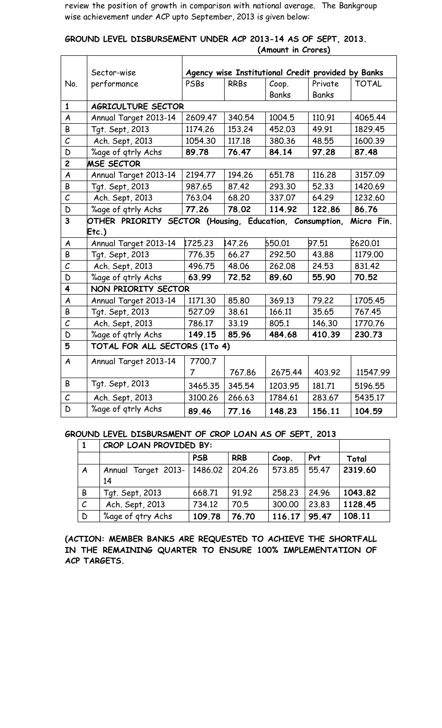review the position of growth in comparison with national average. The Bankgroup wise achievement under ACP upto September, 2013 is given below:

|  | GROUND LEVEL DISBURSEMENT UNDER ACP 2013-14 AS OF SEPT, 2013. |  |                    |  |  |
|--|---------------------------------------------------------------|--|--------------------|--|--|
|  |                                                               |  | (Amount in Crores) |  |  |

|                         | Sector-wise                                             |         |             | Agency wise Institutional Credit provided by Banks |              |              |
|-------------------------|---------------------------------------------------------|---------|-------------|----------------------------------------------------|--------------|--------------|
| No.                     | performance                                             | PSBs    | <b>RRBs</b> | Coop.                                              | Private      | <b>TOTAL</b> |
|                         |                                                         |         |             | <b>Banks</b>                                       | <b>Banks</b> |              |
| $\mathbf{1}$            | AGRICULTURE SECTOR                                      |         |             |                                                    |              |              |
| $\boldsymbol{A}$        | Annual Target 2013-14                                   | 2609.47 | 340.54      | 1004.5                                             | 110.91       | 4065.44      |
| B                       | Tgt. Sept, 2013                                         | 1174.26 | 153.24      | 452.03                                             | 49.91        | 1829.45      |
| $\mathcal{C}_{0}$       | Ach. Sept, 2013                                         | 1054.30 | 117.18      | 380.36                                             | 48.55        | 1600.39      |
| D                       | %age of gtrly Achs                                      | 89.78   | 76.47       | 84.14                                              | 97.28        | 87.48        |
| $\overline{c}$          | <b>MSE SECTOR</b>                                       |         |             |                                                    |              |              |
| A                       | Annual Target 2013-14                                   | 2194.77 | 194.26      | 651,78                                             | 116.28       | 3157.09      |
| B                       | Tgt. Sept, 2013                                         | 987.65  | 87.42       | 293.30                                             | 52.33        | 1420.69      |
| $\mathcal C$            | Ach. Sept, 2013                                         | 763.04  | 68.20       | 337.07                                             | 64.29        | 1232.60      |
| D                       | %age of gtrly Achs                                      | 77.26   | 78.02       | 114.92                                             | 122.86       | 86.76        |
| $\overline{\mathbf{3}}$ | OTHER PRIORITY SECTOR (Housing, Education, Consumption, |         |             |                                                    |              | Micro Fin.   |
|                         | Etc.                                                    |         |             |                                                    |              |              |
| A                       | Annual Target 2013-14                                   | 1725.23 | 147.26      | 650.01                                             | 97.51        | 2620.01      |
| B                       | Tgt. Sept, 2013                                         | 776.35  | 66.27       | 292.50                                             | 43.88        | 1179.00      |
|                         |                                                         |         |             |                                                    |              |              |
| $\mathcal{C}_{0}$       | Ach. Sept, 2013                                         | 496.75  | 48.06       | 262,08                                             | 24.53        | 831.42       |
| D                       | %age of gtrly Achs                                      | 63.99   | 72.52       | 89.60                                              | 55.90        | 70.52        |
| 4                       | NON PRIORITY SECTOR                                     |         |             |                                                    |              |              |
| A                       | Annual Target 2013-14                                   | 1171.30 | 85.80       | 369.13                                             | 79.22        | 1705.45      |
| B                       | Tgt. Sept, 2013                                         | 527.09  | 38.61       | 166.11                                             | 35.65        | 767.45       |
| $\mathcal{C}_{0}^{2}$   | Ach. Sept, 2013                                         | 786.17  | 33.19       | 805.1                                              | 146.30       | 1770.76      |
| D                       | %age of gtrly Achs                                      | 149.15  | 85.96       | 484.68                                             | 410.39       | 230.73       |
| 5                       | TOTAL FOR ALL SECTORS (1To 4)                           |         |             |                                                    |              |              |
| $\overline{A}$          | Annual Target 2013-14                                   | 7700.7  |             |                                                    |              |              |
|                         |                                                         | 7       | 767.86      | 2675.44                                            | 403.92       | 11547.99     |
| B                       | Tgt. Sept, 2013                                         | 3465.35 | 345.54      | 1203.95                                            | 181.71       | 5196.55      |
| $\mathcal{C}$           | Ach. Sept, 2013                                         | 3100.26 | 266.63      | 1784.61                                            | 283.67       | 5435.17      |

#### **GROUND LEVEL DISBURSMENT OF CROP LOAN AS OF SEPT, 2013**

|               | CROP LOAN PROVIDED BY:              |            |            |        |       |         |
|---------------|-------------------------------------|------------|------------|--------|-------|---------|
|               |                                     | <b>PSB</b> | <b>RRB</b> | Coop.  | Pvt   | Total   |
| A             | Annual Target 2013-   1486.02<br>14 |            | 204.26     | 573.85 | 55.47 | 2319.60 |
| B             | Tgt. Sept, 2013                     | 668.71     | 91.92      | 258.23 | 24.96 | 1043.82 |
| $\mathcal{C}$ | Ach. Sept, 2013                     | 734.12     | 70.5       | 300.00 | 23.83 | 1128.45 |
| D             | %age of gtry Achs                   | 109.78     | 76.70      | 116.17 | 95.47 | 108.11  |

**(ACTION: MEMBER BANKS ARE REQUESTED TO ACHIEVE THE SHORTFALL IN THE REMAINING QUARTER TO ENSURE 100% IMPLEMENTATION OF ACP TARGETS.**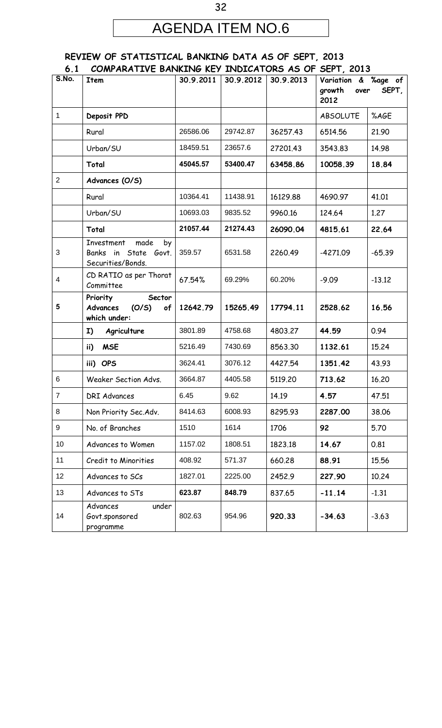# AGENDA ITEM NO.6

32

#### **REVIEW OF STATISTICAL BANKING DATA AS OF SEPT, 2013 6.1 COMPARATIVE BANKING KEY INDICATORS AS OF SEPT, 2013**

| ∪.⊥<br>S.No.   | COME ANATIFY C DAINNING NOT INDICATORS AS OF                          |           |           |           | $JUT$ , $LU1$                                          |          |
|----------------|-----------------------------------------------------------------------|-----------|-----------|-----------|--------------------------------------------------------|----------|
|                | <b>Item</b>                                                           | 30.9.2011 | 30.9.2012 | 30.9.2013 | Variation & %age of<br>growth<br>SEPT,<br>over<br>2012 |          |
| $\mathbf{1}$   | Deposit PPD                                                           |           |           |           | <b>ABSOLUTE</b>                                        | %AGE     |
|                | Rural                                                                 | 26586.06  | 29742.87  | 36257.43  | 6514.56                                                | 21.90    |
|                | Urban/SU                                                              | 18459.51  | 23657.6   | 27201.43  | 3543.83                                                | 14.98    |
|                | Total                                                                 | 45045.57  | 53400.47  | 63458.86  | 10058.39                                               | 18.84    |
| $\overline{2}$ | Advances (O/S)                                                        |           |           |           |                                                        |          |
|                | Rural                                                                 | 10364.41  | 11438.91  | 16129.88  | 4690.97                                                | 41.01    |
|                | Urban/SU                                                              | 10693.03  | 9835.52   | 9960.16   | 124.64                                                 | 1.27     |
|                | Total                                                                 | 21057.44  | 21274.43  | 26090.04  | 4815.61                                                | 22.64    |
| 3              | made<br>Investment<br>by<br>Banks in State Govt.<br>Securities/Bonds. | 359.57    | 6531.58   | 2260.49   | $-4271.09$                                             | $-65.39$ |
| 4              | CD RATIO as per Thorat<br>Committee                                   | 67.54%    | 69.29%    | 60.20%    | $-9.09$                                                | $-13.12$ |
| 5              | Priority<br>Sector<br>(O/S)<br>Advances<br>of<br>which under:         | 12642.79  | 15265.49  | 17794.11  | 2528.62                                                | 16.56    |
|                | Agriculture<br>I)                                                     | 3801.89   | 4758.68   | 4803.27   | 44.59                                                  | 0.94     |
|                | <b>MSE</b><br>ii)                                                     | 5216.49   | 7430.69   | 8563.30   | 1132.61                                                | 15.24    |
|                | iii) OPS                                                              | 3624.41   | 3076.12   | 4427.54   | 1351.42                                                | 43.93    |
| 6              | Weaker Section Advs.                                                  | 3664.87   | 4405.58   | 5119.20   | 713.62                                                 | 16.20    |
| $\overline{7}$ | <b>DRI Advances</b>                                                   | 6.45      | 9.62      | 14.19     | 4.57                                                   | 47.51    |
| 8              | Non Priority Sec. Adv.                                                | 8414.63   | 6008.93   | 8295.93   | 2287.00                                                | 38.06    |
| 9              | No. of Branches                                                       | 1510      | 1614      | 1706      | 92                                                     | 5.70     |
| 10             | Advances to Women                                                     | 1157.02   | 1808.51   | 1823.18   | 14.67                                                  | 0.81     |
| 11             | Credit to Minorities                                                  | 408.92    | 571.37    | 660.28    | 88.91                                                  | 15.56    |
| 12             | Advances to SCs                                                       | 1827.01   | 2225.00   | 2452.9    | 227.90                                                 | 10.24    |
| 13             | Advances to STs                                                       | 623.87    | 848.79    | 837.65    | $-11.14$                                               | $-1.31$  |
| 14             | under<br>Advances<br>Govt.sponsored<br>programme                      | 802.63    | 954.96    | 920.33    | $-34.63$                                               | $-3.63$  |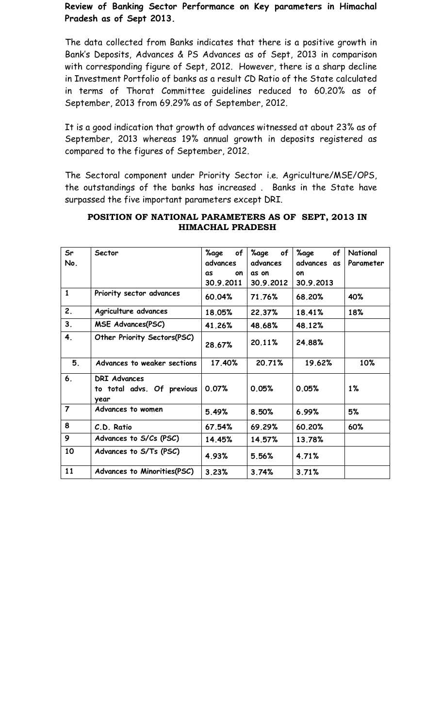**Review of Banking Sector Performance on Key parameters in Himachal Pradesh as of Sept 2013.** 

The data collected from Banks indicates that there is a positive growth in Bank's Deposits, Advances & PS Advances as of Sept, 2013 in comparison with corresponding figure of Sept, 2012. However, there is a sharp decline in Investment Portfolio of banks as a result CD Ratio of the State calculated in terms of Thorat Committee guidelines reduced to 60.20% as of September, 2013 from 69.29% as of September, 2012.

It is a good indication that growth of advances witnessed at about 23% as of September, 2013 whereas 19% annual growth in deposits registered as compared to the figures of September, 2012.

The Sectoral component under Priority Sector i.e. Agriculture/MSE/OPS, the outstandings of the banks has increased . Banks in the State have surpassed the five important parameters except DRI.

| Sr<br>No.      | Sector                                                    | %age<br>of<br>advances | %age<br>0f<br>advances | %age<br>of<br>advances<br>as | National<br>Parameter |
|----------------|-----------------------------------------------------------|------------------------|------------------------|------------------------------|-----------------------|
|                |                                                           | on<br>as               | as on                  | on                           |                       |
|                |                                                           | 30.9.2011              | 30.9.2012              | 30.9.2013                    |                       |
| $\mathbf{1}$   | Priority sector advances                                  | 60.04%                 | 71.76%                 | 68.20%                       | 40%                   |
| 2.             | Agriculture advances                                      | 18.05%                 | 22.37%                 | 18.41%                       | 18%                   |
| 3.             | <b>MSE Advances(PSC)</b>                                  | 41.26%                 | 48.68%                 | 48.12%                       |                       |
| 4.             | Other Priority Sectors(PSC)                               | 28.67%                 | 20.11%                 | 24.88%                       |                       |
| 5 <sub>1</sub> | Advances to weaker sections                               | 17.40%                 | 20.71%                 | 19.62%                       | 10%                   |
| 6.             | <b>DRI Advances</b><br>to total advs. Of previous<br>year | 0.07%                  | 0.05%                  | 0.05%                        | $1\%$                 |
| $\overline{7}$ | Advances to women                                         | 5.49%                  | 8.50%                  | 6.99%                        | 5%                    |
| 8              | C.D. Ratio                                                | 67.54%                 | 69.29%                 | 60.20%                       | 60%                   |
| 9              | Advances to S/Cs (PSC)                                    | 14.45%                 | 14.57%                 | 13.78%                       |                       |
| 10             | Advances to S/Ts (PSC)                                    | 4.93%                  | 5.56%                  | 4.71%                        |                       |
| 11             | Advances to Minorities(PSC)                               | 3.23%                  | 3.74%                  | 3.71%                        |                       |

#### **POSITION OF NATIONAL PARAMETERS AS OF SEPT, 2013 IN HIMACHAL PRADESH**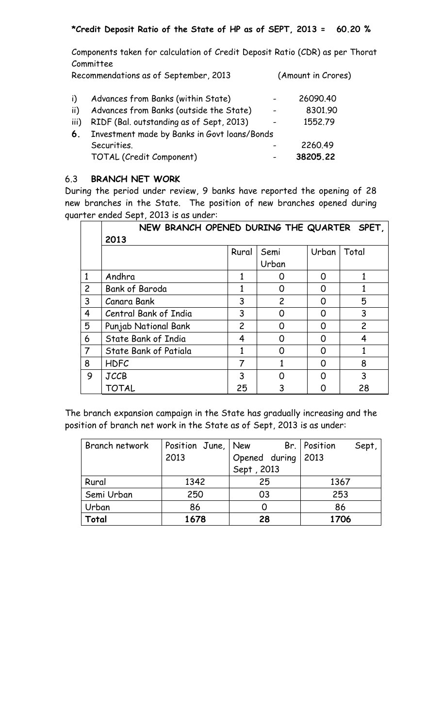## **\*Credit Deposit Ratio of the State of HP as of SEPT, 2013 = 60.20 %**

Components taken for calculation of Credit Deposit Ratio (CDR) as per Thorat Committee

Recommendations as of September, 2013 (Amount in Crores)

| i).  | Advances from Banks (within State)           | 26090.40 |
|------|----------------------------------------------|----------|
| ii)  | Advances from Banks (outside the State)      | 8301.90  |
| iii) | RIDF (Bal. outstanding as of Sept, 2013)     | 1552.79  |
| 6.   | Investment made by Banks in Govt loans/Bonds |          |
|      | Securities.                                  | 2260.49  |
|      | TOTAL (Credit Component)                     | 38205.22 |

## 6.3 **BRANCH NET WORK**

During the period under review, 9 banks have reported the opening of 28 new branches in the State. The position of new branches opened during quarter ended Sept, 2013 is as under:

|                | NEW BRANCH OPENED DURING THE QUARTER SPET, |                |                |       |                |
|----------------|--------------------------------------------|----------------|----------------|-------|----------------|
|                | 2013                                       |                |                |       |                |
|                |                                            | Rural          | Semi           | Urban | Total          |
|                |                                            |                | Urban          |       |                |
| $\mathbf{1}$   | Andhra                                     |                | O              | O     |                |
| $\overline{c}$ | <b>Bank of Baroda</b>                      |                | 0              | O     |                |
| 3              | Canara Bank                                | 3              | $\overline{c}$ | O     | 5              |
| 4              | Central Bank of India                      | 3              | O              | O     | 3              |
| 5              | Punjab National Bank                       | $\overline{c}$ | ∩              | ∩     | $\overline{c}$ |
| 6              | State Bank of India                        | 4              | ∩              | ∩     | 4              |
| $\overline{7}$ | State Bank of Patiala                      |                | Ω              | O     |                |
| 8              | <b>HDFC</b>                                | 7              |                | ∩     | 8              |
| 9              | <b>JCCB</b>                                | 3              | ∩              | ∩     | 3              |
|                | <b>TOTAL</b>                               | 25             |                |       | 28             |

The branch expansion campaign in the State has gradually increasing and the position of branch net work in the State as of Sept, 2013 is as under:

| Branch network | Position June, New |                    | Br.   Position<br>Sept, |
|----------------|--------------------|--------------------|-------------------------|
|                | 2013               | Opened during 2013 |                         |
|                |                    | Sept, 2013         |                         |
| Rural          | 1342               | 25                 | 1367                    |
| Semi Urban     | 250                | 03                 | 253                     |
| Urban          | 86                 |                    | 86                      |
| Total          | 1678               | 28                 | 1706                    |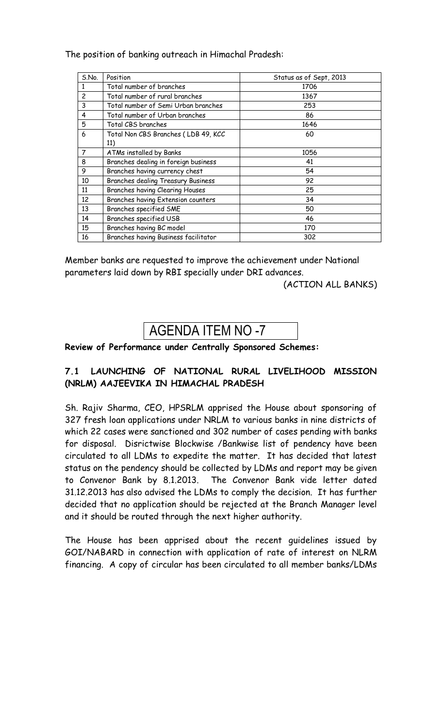## The position of banking outreach in Himachal Pradesh:

| S.No.          | Position                               | Status as of Sept, 2013 |
|----------------|----------------------------------------|-------------------------|
| 1              | Total number of branches               | 1706                    |
| $\overline{c}$ | Total number of rural branches         | 1367                    |
| 3              | Total number of Semi Urban branches    | 253                     |
| 4              | Total number of Urban branches         | 86                      |
| 5              | Total CBS branches                     | 1646                    |
| 6              | Total Non CBS Branches (LDB 49, KCC    | 60                      |
|                | 11)                                    |                         |
| $\overline{7}$ | ATMs installed by Banks                | 1056                    |
| 8              | Branches dealing in foreign business   | 41                      |
| 9              | Branches having currency chest         | 54                      |
| 10             | Branches dealing Treasury Business     | 92                      |
| 11             | <b>Branches having Clearing Houses</b> | 25                      |
| 12             | Branches having Extension counters     | 34                      |
| 13             | Branches specified SME                 | 50                      |
| 14             | Branches specified USB                 | 46                      |
| 15             | Branches having BC model               | 170                     |
| 16             | Branches having Business facilitator   | 302                     |

Member banks are requested to improve the achievement under National parameters laid down by RBI specially under DRI advances.

(ACTION ALL BANKS)

# AGENDA ITEM NO -7

#### **Review of Performance under Centrally Sponsored Schemes:**

## **7.1 LAUNCHING OF NATIONAL RURAL LIVELIHOOD MISSION (NRLM) AAJEEVIKA IN HIMACHAL PRADESH**

Sh. Rajiv Sharma, CEO, HPSRLM apprised the House about sponsoring of 327 fresh loan applications under NRLM to various banks in nine districts of which 22 cases were sanctioned and 302 number of cases pending with banks for disposal. Disrictwise Blockwise /Bankwise list of pendency have been circulated to all LDMs to expedite the matter. It has decided that latest status on the pendency should be collected by LDMs and report may be given to Convenor Bank by 8.1.2013. The Convenor Bank vide letter dated 31.12.2013 has also advised the LDMs to comply the decision. It has further decided that no application should be rejected at the Branch Manager level and it should be routed through the next higher authority.

The House has been apprised about the recent guidelines issued by GOI/NABARD in connection with application of rate of interest on NLRM financing. A copy of circular has been circulated to all member banks/LDMs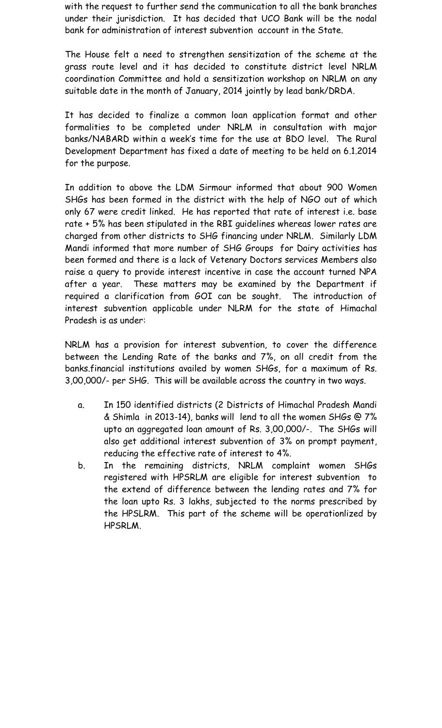with the request to further send the communication to all the bank branches under their jurisdiction. It has decided that UCO Bank will be the nodal bank for administration of interest subvention account in the State.

The House felt a need to strengthen sensitization of the scheme at the grass route level and it has decided to constitute district level NRLM coordination Committee and hold a sensitization workshop on NRLM on any suitable date in the month of January, 2014 jointly by lead bank/DRDA.

It has decided to finalize a common loan application format and other formalities to be completed under NRLM in consultation with major banks/NABARD within a week's time for the use at BDO level. The Rural Development Department has fixed a date of meeting to be held on 6.1.2014 for the purpose.

In addition to above the LDM Sirmour informed that about 900 Women SHGs has been formed in the district with the help of NGO out of which only 67 were credit linked. He has reported that rate of interest i.e. base rate + 5% has been stipulated in the RBI guidelines whereas lower rates are charged from other districts to SHG financing under NRLM. Similarly LDM Mandi informed that more number of SHG Groups for Dairy activities has been formed and there is a lack of Vetenary Doctors services Members also raise a query to provide interest incentive in case the account turned NPA after a year. These matters may be examined by the Department if required a clarification from GOI can be sought. The introduction of interest subvention applicable under NLRM for the state of Himachal Pradesh is as under:

NRLM has a provision for interest subvention, to cover the difference between the Lending Rate of the banks and 7%, on all credit from the banks.financial institutions availed by women SHGs, for a maximum of Rs. 3,00,000/- per SHG. This will be available across the country in two ways.

- a. In 150 identified districts (2 Districts of Himachal Pradesh Mandi & Shimla in 2013-14), banks will lend to all the women SHGs @ 7% upto an aggregated loan amount of Rs. 3,00,000/-. The SHGs will also get additional interest subvention of 3% on prompt payment, reducing the effective rate of interest to 4%.
- b. In the remaining districts, NRLM complaint women SHGs registered with HPSRLM are eligible for interest subvention to the extend of difference between the lending rates and 7% for the loan upto Rs. 3 lakhs, subjected to the norms prescribed by the HPSLRM. This part of the scheme will be operationlized by HPSRLM.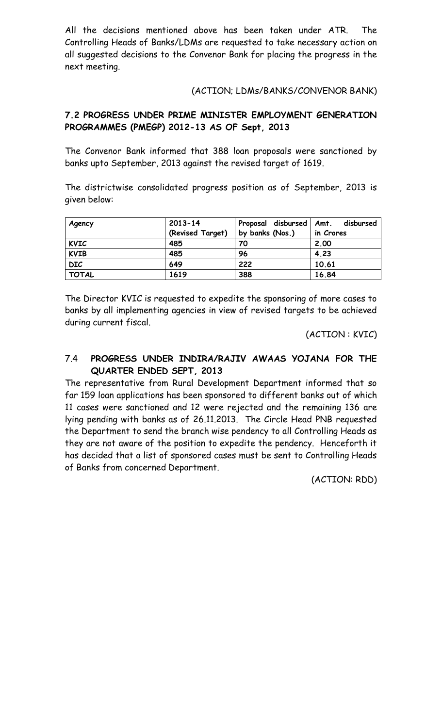All the decisions mentioned above has been taken under ATR. The Controlling Heads of Banks/LDMs are requested to take necessary action on all suggested decisions to the Convenor Bank for placing the progress in the next meeting.

### (ACTION; LDMs/BANKS/CONVENOR BANK)

## **7.2 PROGRESS UNDER PRIME MINISTER EMPLOYMENT GENERATION PROGRAMMES (PMEGP) 2012-13 AS OF Sept, 2013**

The Convenor Bank informed that 388 loan proposals were sanctioned by banks upto September, 2013 against the revised target of 1619.

The districtwise consolidated progress position as of September, 2013 is given below:

| Agency       | $2013 - 14$      | Proposal disbursed | disbursed<br>Amt. |
|--------------|------------------|--------------------|-------------------|
|              | (Revised Target) | by banks (Nos.)    | in Crores         |
| <b>KVIC</b>  | 485              | 70                 | 2,00              |
| <b>KVIB</b>  | 485              | 96                 | 4.23              |
| <b>DIC</b>   | 649              | 222                | 10.61             |
| <b>TOTAL</b> | 1619             | 388                | 16.84             |

The Director KVIC is requested to expedite the sponsoring of more cases to banks by all implementing agencies in view of revised targets to be achieved during current fiscal.

(ACTION : KVIC)

## 7.4 **PROGRESS UNDER INDIRA/RAJIV AWAAS YOJANA FOR THE QUARTER ENDED SEPT, 2013**

The representative from Rural Development Department informed that so far 159 loan applications has been sponsored to different banks out of which 11 cases were sanctioned and 12 were rejected and the remaining 136 are lying pending with banks as of 26.11.2013. The Circle Head PNB requested the Department to send the branch wise pendency to all Controlling Heads as they are not aware of the position to expedite the pendency. Henceforth it has decided that a list of sponsored cases must be sent to Controlling Heads of Banks from concerned Department.

(ACTION: RDD)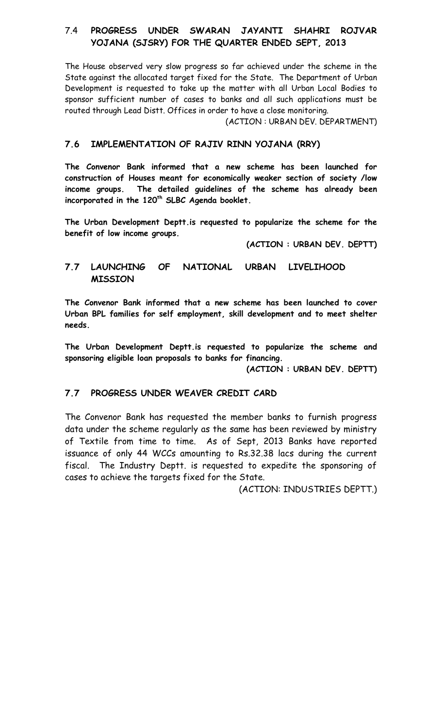## 7.4 **PROGRESS UNDER SWARAN JAYANTI SHAHRI ROJVAR YOJANA (SJSRY) FOR THE QUARTER ENDED SEPT, 2013**

The House observed very slow progress so far achieved under the scheme in the State against the allocated target fixed for the State. The Department of Urban Development is requested to take up the matter with all Urban Local Bodies to sponsor sufficient number of cases to banks and all such applications must be routed through Lead Distt. Offices in order to have a close monitoring.

(ACTION : URBAN DEV. DEPARTMENT)

## **7.6 IMPLEMENTATION OF RAJIV RINN YOJANA (RRY)**

**The Convenor Bank informed that a new scheme has been launched for construction of Houses meant for economically weaker section of society /low income groups. The detailed guidelines of the scheme has already been incorporated in the 120th SLBC Agenda booklet.**

**The Urban Development Deptt.is requested to popularize the scheme for the benefit of low income groups.**

**(ACTION : URBAN DEV. DEPTT)** 

## **7.7 LAUNCHING OF NATIONAL URBAN LIVELIHOOD MISSION**

**The Convenor Bank informed that a new scheme has been launched to cover Urban BPL families for self employment, skill development and to meet shelter needs.** 

**The Urban Development Deptt.is requested to popularize the scheme and sponsoring eligible loan proposals to banks for financing.**

**(ACTION : URBAN DEV. DEPTT)** 

#### **7.7 PROGRESS UNDER WEAVER CREDIT CARD**

The Convenor Bank has requested the member banks to furnish progress data under the scheme regularly as the same has been reviewed by ministry of Textile from time to time. As of Sept, 2013 Banks have reported issuance of only 44 WCCs amounting to Rs.32.38 lacs during the current fiscal. The Industry Deptt. is requested to expedite the sponsoring of cases to achieve the targets fixed for the State.

(ACTION: INDUSTRIES DEPTT.)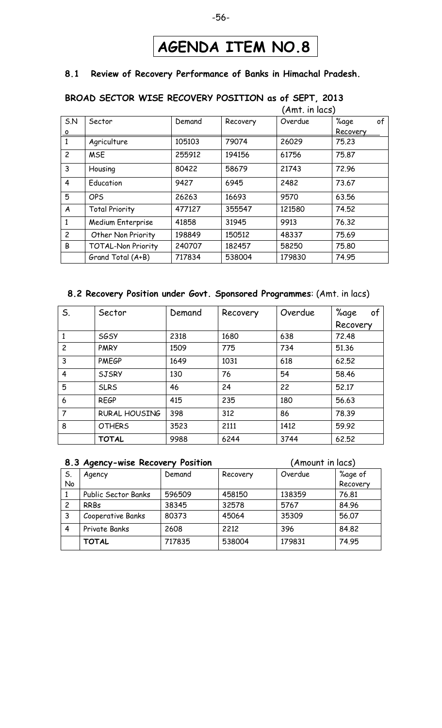# **AGENDA ITEM NO.8**

#### **8.1 Review of Recovery Performance of Banks in Himachal Pradesh.**

#### (Amt. in lacs) S.N o Sector | Demand | Recovery | Overdue | %age of Recovery 1 | Agriculture | 105103 | 79074 | 26029 | 75.23 2 MSE 255912 194156 61756 75.87 3 Housing 80422 58679 21743 72.96 4 Education 9427 6945 2482 73.67 5 OPS 26263 16693 9570 63.56 A Total Priority 477127 355547 121580 74.52 1 | Medium Enterprise | 41858 | 31945 | 9913 | 76.32

### **BROAD SECTOR WISE RECOVERY POSITION as of SEPT, 2013**

### **8.2 Recovery Position under Govt. Sponsored Programmes**: (Amt. in lacs)

Grand Total (A+B)  $\begin{array}{|c|c|c|c|c|c|} \hline \end{array}$  717834 | 538004 | 179830 | 74.95

2 | Other Non Priority | 198849 | 150512 | 48337 | 75.69 B | TOTAL-Non Priority | 240707 | 182457 | 58250 | 75.80

| S.             | Sector               | Demand | Recovery | Overdue | %age<br>of |
|----------------|----------------------|--------|----------|---------|------------|
|                |                      |        |          |         | Recovery   |
|                | <b>SGSY</b>          | 2318   | 1680     | 638     | 72,48      |
| $\overline{c}$ | <b>PMRY</b>          | 1509   | 775      | 734     | 51,36      |
| $\overline{3}$ | <b>PMEGP</b>         | 1649   | 1031     | 618     | 62.52      |
| $\overline{4}$ | <b>SJSRY</b>         | 130    | 76       | 54      | 58.46      |
| 5              | <b>SLRS</b>          | 46     | 24       | 22      | 52,17      |
| 6              | <b>REGP</b>          | 415    | 235      | 180     | 56.63      |
| $\overline{7}$ | <b>RURAL HOUSING</b> | 398    | 312      | 86      | 78.39      |
| 8              | <b>OTHERS</b>        | 3523   | 2111     | 1412    | 59.92      |
|                | <b>TOTAL</b>         | 9988   | 6244     | 3744    | 62.52      |

|    | 8.3 Agency-wise Recovery Position |        |          | (Amount in lacs) |          |
|----|-----------------------------------|--------|----------|------------------|----------|
| S. | Agency                            | Demand | Recovery | Overdue          | %age of  |
| No |                                   |        |          |                  | Recovery |
|    | Public Sector Banks               | 596509 | 458150   | 138359           | 76.81    |
| 2  | <b>RRBs</b>                       | 38345  | 32578    | 5767             | 84.96    |
| 3  | Cooperative Banks                 | 80373  | 45064    | 35309            | 56.07    |
| 4  | Private Banks                     | 2608   | 2212     | 396              | 84.82    |
|    | <b>TOTAL</b>                      | 717835 | 538004   | 179831           | 74.95    |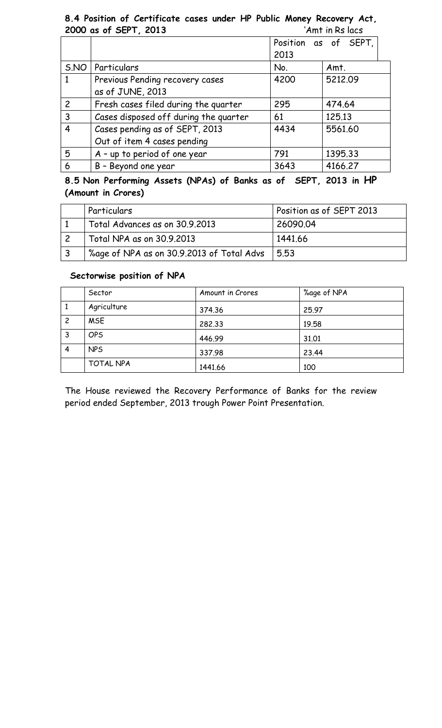### **8.4 Position of Certificate cases under HP Public Money Recovery Act, 2000 as of SEPT, 2013** 'Amt in Rs lacs

| $2000$ us $01$ OCT 1, 2019            |      |                      |
|---------------------------------------|------|----------------------|
|                                       | 2013 | Position as of SEPT, |
| Particulars                           | No.  | Amt.                 |
| Previous Pending recovery cases       | 4200 | 5212.09              |
| as of JUNE, 2013                      |      |                      |
| Fresh cases filed during the quarter  | 295  | 474.64               |
| Cases disposed off during the quarter | 61   | 125.13               |
| Cases pending as of SEPT, 2013        | 4434 | 5561.60              |
| Out of item 4 cases pending           |      |                      |
| A - up to period of one year          | 791  | 1395.33              |
| B - Beyond one year                   | 3643 | 4166.27              |
|                                       |      |                      |

**8.5 Non Performing Assets (NPAs) of Banks as of SEPT, 2013 in HP (Amount in Crores)**

| Particulars                               | Position as of SEPT 2013 |
|-------------------------------------------|--------------------------|
| Total Advances as on 30.9.2013            | 26090.04                 |
| Total NPA as on 30.9.2013                 | 1441.66                  |
| %age of NPA as on 30.9.2013 of Total Advs | 5.53                     |

### **Sectorwise position of NPA**

|                | Sector      | Amount in Crores | %age of NPA |
|----------------|-------------|------------------|-------------|
| 1              | Agriculture | 374.36           | 25.97       |
| $\overline{c}$ | <b>MSE</b>  | 282.33           | 19.58       |
| 3              | <b>OPS</b>  | 446.99           | 31.01       |
| 4              | <b>NPS</b>  | 337.98           | 23.44       |
|                | TOTAL NPA   | 1441.66          | 100         |

The House reviewed the Recovery Performance of Banks for the review period ended September, 2013 trough Power Point Presentation.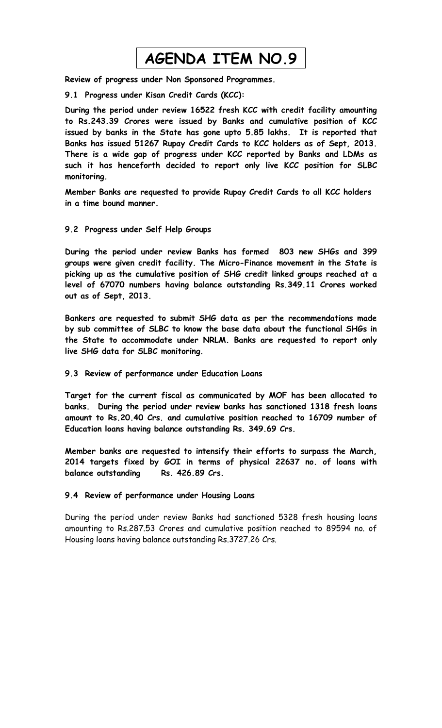# **AGENDA ITEM NO.9**

**Review of progress under Non Sponsored Programmes.**

**9.1 Progress under Kisan Credit Cards (KCC):**

**During the period under review 16522 fresh KCC with credit facility amounting to Rs.243.39 Crores were issued by Banks and cumulative position of KCC issued by banks in the State has gone upto 5.85 lakhs. It is reported that Banks has issued 51267 Rupay Credit Cards to KCC holders as of Sept, 2013. There is a wide gap of progress under KCC reported by Banks and LDMs as such it has henceforth decided to report only live KCC position for SLBC monitoring.**

**Member Banks are requested to provide Rupay Credit Cards to all KCC holders in a time bound manner.**

#### **9.2 Progress under Self Help Groups**

**During the period under review Banks has formed 803 new SHGs and 399 groups were given credit facility. The Micro-Finance movement in the State is picking up as the cumulative position of SHG credit linked groups reached at a level of 67070 numbers having balance outstanding Rs.349.11 Crores worked out as of Sept, 2013.** 

**Bankers are requested to submit SHG data as per the recommendations made by sub committee of SLBC to know the base data about the functional SHGs in the State to accommodate under NRLM. Banks are requested to report only live SHG data for SLBC monitoring.**

#### **9.3 Review of performance under Education Loans**

**Target for the current fiscal as communicated by MOF has been allocated to banks. During the period under review banks has sanctioned 1318 fresh loans amount to Rs.20.40 Crs. and cumulative position reached to 16709 number of Education loans having balance outstanding Rs. 349.69 Crs.**

**Member banks are requested to intensify their efforts to surpass the March, 2014 targets fixed by GOI in terms of physical 22637 no. of loans with balance outstanding Rs. 426.89 Crs.** 

#### **9.4 Review of performance under Housing Loans**

During the period under review Banks had sanctioned 5328 fresh housing loans amounting to Rs.287.53 Crores and cumulative position reached to 89594 no. of Housing loans having balance outstanding Rs.3727.26 Crs.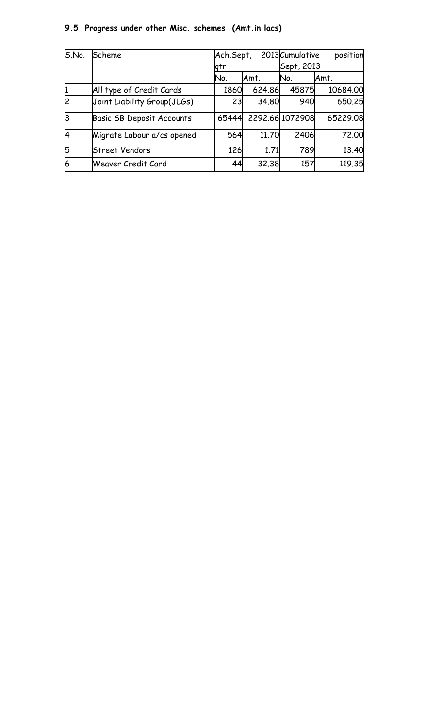## **9.5 Progress under other Misc. schemes (Amt.in lacs)**

| S.No. | Scheme                           | Ach.Sept, |        | 2013 Cumulative | position |
|-------|----------------------------------|-----------|--------|-----------------|----------|
|       |                                  | gtr       |        | Sept, 2013      |          |
|       |                                  | No.       | Amt.   | No.             | Amt.     |
| 1     | All type of Credit Cards         | 1860      | 624.86 | 45875           | 10684.00 |
| 2     | Joint Liability Group(JLGs)      | 23        | 34.80  | 940             | 650.25   |
| l3    | <b>Basic SB Deposit Accounts</b> | 65444     |        | 2292.66 1072908 | 65229.08 |
| l4    | Migrate Labour a/cs opened       | 564       | 11.70  | 2406            | 72.00    |
| 5     | <b>Street Vendors</b>            | 126       | 1.71   | 789             | 13.40    |
| 6     | Weaver Credit Card               | 44        | 32.38  | 157             | 119.35   |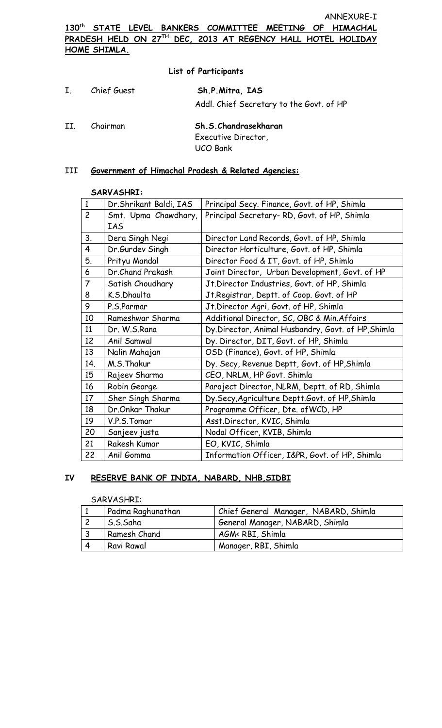**130th STATE LEVEL BANKERS COMMITTEE MEETING OF HIMACHAL PRADESH HELD ON 27TH DEC, 2013 AT REGENCY HALL HOTEL HOLIDAY HOME SHIMLA.**

#### **List of Participants**

| Ι.  | Chief Guest | Sh.P.Mitra, IAS<br>Addl. Chief Secretary to the Govt. of HP    |
|-----|-------------|----------------------------------------------------------------|
| II. | Chairman    | Sh.S.Chandrasekharan<br>Executive Director,<br><b>UCO Bank</b> |

#### III **Government of Himachal Pradesh & Related Agencies:**

#### **SARVASHRI:**

| $\mathbf{1}$            | Dr.Shrikant Baldi, IAS | Principal Secy. Finance, Govt. of HP, Shimla       |
|-------------------------|------------------------|----------------------------------------------------|
| $\overline{c}$          | Smt. Upma Chawdhary,   | Principal Secretary-RD, Govt. of HP, Shimla        |
|                         | <b>IAS</b>             |                                                    |
| 3.                      | Dera Singh Negi        | Director Land Records, Govt. of HP, Shimla         |
| $\overline{\mathbf{4}}$ | Dr.Gurdev Singh        | Director Horticulture, Govt. of HP, Shimla         |
| 5.                      | Prityu Mandal          | Director Food & IT, Govt. of HP, Shimla            |
| 6                       | Dr.Chand Prakash       | Joint Director, Urban Development, Govt. of HP     |
| $\overline{7}$          | Satish Choudhary       | Jt.Director Industries, Govt. of HP, Shimla        |
| 8                       | K.S.Dhaulta            | Jt.Registrar, Deptt. of Coop. Govt. of HP          |
| 9                       | P.S.Parmar             | Jt.Director Agri, Govt. of HP, Shimla              |
| 10                      | Rameshwar Sharma       | Additional Director, SC, OBC & Min. Affairs        |
| 11                      | Dr. W.S.Rana           | Dy.Director, Animal Husbandry, Govt. of HP, Shimla |
| 12                      | Anil Samwal            | Dy. Director, DIT, Govt. of HP, Shimla             |
| 13                      | Nalin Mahajan          | OSD (Finance), Govt. of HP, Shimla                 |
| 14.                     | M.S.Thakur             | Dy. Secy, Revenue Deptt, Govt. of HP, Shimla       |
| 15                      | Rajeev Sharma          | CEO, NRLM, HP Govt. Shimla                         |
| 16                      | Robin George           | Paroject Director, NLRM, Deptt. of RD, Shimla      |
| 17                      | Sher Singh Sharma      | Dy.Secy, Agriculture Deptt.Govt. of HP, Shimla     |
| 18                      | Dr.Onkar Thakur        | Programme Officer, Dte. of WCD, HP                 |
| 19                      | V.P.S.Tomar            | Asst.Director, KVIC, Shimla                        |
| 20                      | Sanjeev justa          | Nodal Officer, KVIB, Shimla                        |
| 21                      | Rakesh Kumar           | EO, KVIC, Shimla                                   |
| 22                      | Anil Gomma             | Information Officer, I&PR, Govt. of HP, Shimla     |

#### **IV RESERVE BANK OF INDIA, NABARD, NHB,SIDBI**

#### SARVASHRI:

| Padma Raghunathan | Chief General Manager, NABARD, Shimla |
|-------------------|---------------------------------------|
| S.S.Saha          | General Manager, NABARD, Shimla       |
| Ramesh Chand      | AGM< RBI, Shimla                      |
| Ravi Rawal        | Manager, RBI, Shimla                  |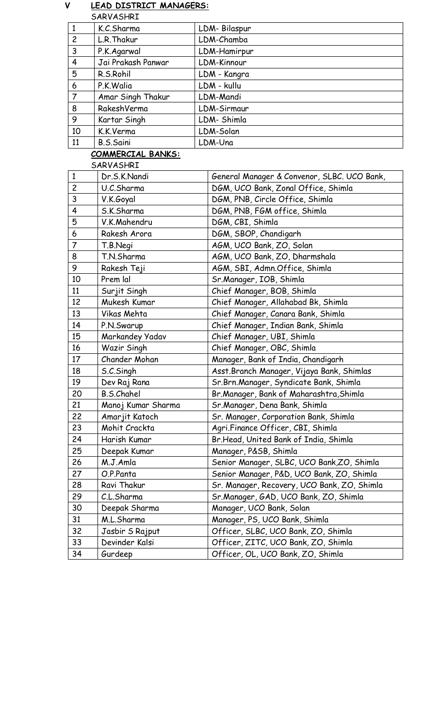#### **V LEAD DISTRICT MANAGERS:** SARVASHRI

|                | K.C.Sharma         | LDM-Bilaspur |
|----------------|--------------------|--------------|
| $\overline{c}$ | L.R. Thakur        | LDM-Chamba   |
| 3              | P.K.Agarwal        | LDM-Hamirpur |
| $\overline{4}$ | Jai Prakash Panwar | LDM-Kinnour  |
| 5              | R.S.Rohil          | LDM - Kangra |
| 6              | P.K.Walia          | LDM - kullu  |
| $\overline{7}$ | Amar Singh Thakur  | LDM-Mandi    |
| 8              | RakeshVerma        | LDM-Sirmaur  |
| 9              | Kartar Singh       | LDM-Shimla   |
| 10             | K.K.Verma          | LDM-Solan    |
| 11             | B.S.Saini          | LDM-Una      |

## **COMMERCIAL BANKS:**

#### SARVASHRI

| $\mathbf{1}$   | Dr.S.K.Nandi       | General Manager & Convenor, SLBC. UCO Bank, |
|----------------|--------------------|---------------------------------------------|
| $\overline{c}$ | U.C.Sharma         | DGM, UCO Bank, Zonal Office, Shimla         |
| 3              | V.K.Goyal          | DGM, PNB, Circle Office, Shimla             |
| 4              | S.K.Sharma         | DGM, PNB, FGM office, Shimla                |
| 5              | V.K.Mahendru       | DGM, CBI, Shimla                            |
| 6              | Rakesh Arora       | DGM, SBOP, Chandigarh                       |
| $\overline{7}$ | T.B.Negi           | AGM, UCO Bank, ZO, Solan                    |
| 8              | T.N.Sharma         | AGM, UCO Bank, ZO, Dharmshala               |
| 9              | Rakesh Teji        | AGM, SBI, Admn.Office, Shimla               |
| 10             | Prem lal           | Sr.Manager, IOB, Shimla                     |
| 11             | Surjit Singh       | Chief Manager, BOB, Shimla                  |
| 12             | Mukesh Kumar       | Chief Manager, Allahabad Bk, Shimla         |
| 13             | Vikas Mehta        | Chief Manager, Canara Bank, Shimla          |
| 14             | P.N.Swarup         | Chief Manager, Indian Bank, Shimla          |
| 15             | Markandey Yadav    | Chief Manager, UBI, Shimla                  |
| 16             | Wazir Singh        | Chief Manager, OBC, Shimla                  |
| 17             | Chander Mohan      | Manager, Bank of India, Chandigarh          |
| 18             | S.C.Singh          | Asst.Branch Manager, Vijaya Bank, Shimlas   |
| 19             | Dev Raj Rana       | Sr.Brn.Manager, Syndicate Bank, Shimla      |
| 20             | <b>B.S.Chahel</b>  | Br.Manager, Bank of Maharashtra, Shimla     |
| 21             | Manoj Kumar Sharma | Sr.Manager, Dena Bank, Shimla               |
| 22             | Amarjit Katoch     | Sr. Manager, Corporation Bank, Shimla       |
| 23             | Mohit Crackta      | Agri.Finance Officer, CBI, Shimla           |
| 24             | Harish Kumar       | Br.Head, United Bank of India, Shimla       |
| 25             | Deepak Kumar       | Manager, P&SB, Shimla                       |
| 26             | M.J.Amla           | Senior Manager, SLBC, UCO Bank, ZO, Shimla  |
| 27             | O.P.Panta          | Senior Manager, P&D, UCO Bank, ZO, Shimla   |
| 28             | Ravi Thakur        | Sr. Manager, Recovery, UCO Bank, ZO, Shimla |
| 29             | C.L.Sharma         | Sr.Manager, GAD, UCO Bank, ZO, Shimla       |
| 30             | Deepak Sharma      | Manager, UCO Bank, Solan                    |
| 31             | M.L.Sharma         | Manager, PS, UCO Bank, Shimla               |
| 32             | Jasbir S Rajput    | Officer, SLBC, UCO Bank, ZO, Shimla         |
| 33             | Devinder Kalsi     | Officer, ZITC, UCO Bank, ZO, Shimla         |
| 34             | Gurdeep            | Officer, OL, UCO Bank, ZO, Shimla           |